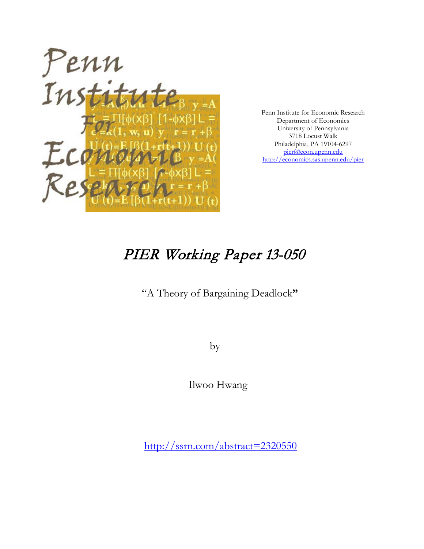

Penn Institute for Economic Research Department of Economics University of Pennsylvania 3718 Locust Walk Philadelphia, PA 19104-6297 [pier@econ.upenn.edu](mailto:pier@econ.upenn.edu) <http://economics.sas.upenn.edu/pier>

# PIER Working Paper 13-050

"A Theory of Bargaining Deadlock**"**

by

Ilwoo Hwang

[http://ssrn.com/abstract=2](http://ssrn.com/abstract_id=)320550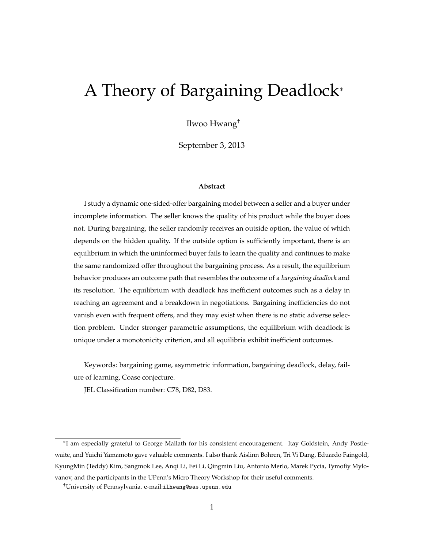# A Theory of Bargaining Deadlock<sup>®</sup>

Ilwoo Hwang†

September 3, 2013

#### **Abstract**

I study a dynamic one-sided-offer bargaining model between a seller and a buyer under incomplete information. The seller knows the quality of his product while the buyer does not. During bargaining, the seller randomly receives an outside option, the value of which depends on the hidden quality. If the outside option is sufficiently important, there is an equilibrium in which the uninformed buyer fails to learn the quality and continues to make the same randomized offer throughout the bargaining process. As a result, the equilibrium behavior produces an outcome path that resembles the outcome of a *bargaining deadlock* and its resolution. The equilibrium with deadlock has inefficient outcomes such as a delay in reaching an agreement and a breakdown in negotiations. Bargaining inefficiencies do not vanish even with frequent offers, and they may exist when there is no static adverse selection problem. Under stronger parametric assumptions, the equilibrium with deadlock is unique under a monotonicity criterion, and all equilibria exhibit inefficient outcomes.

Keywords: bargaining game, asymmetric information, bargaining deadlock, delay, failure of learning, Coase conjecture.

JEL Classification number: C78, D82, D83.

<sup>⇤</sup>I am especially grateful to George Mailath for his consistent encouragement. Itay Goldstein, Andy Postlewaite, and Yuichi Yamamoto gave valuable comments. I also thank Aislinn Bohren, Tri Vi Dang, Eduardo Faingold, KyungMin (Teddy) Kim, Sangmok Lee, Anqi Li, Fei Li, Qingmin Liu, Antonio Merlo, Marek Pycia, Tymofiy Mylovanov, and the participants in the UPenn's Micro Theory Workshop for their useful comments.

<sup>†</sup>University of Pennsylvania. e-mail:ilhwang@sas.upenn.edu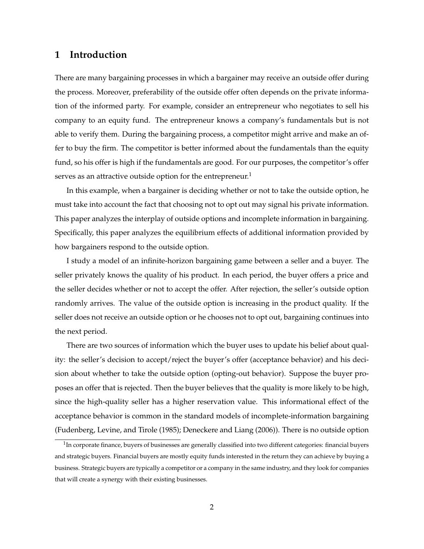## **1 Introduction**

There are many bargaining processes in which a bargainer may receive an outside offer during the process. Moreover, preferability of the outside offer often depends on the private information of the informed party. For example, consider an entrepreneur who negotiates to sell his company to an equity fund. The entrepreneur knows a company's fundamentals but is not able to verify them. During the bargaining process, a competitor might arrive and make an offer to buy the firm. The competitor is better informed about the fundamentals than the equity fund, so his offer is high if the fundamentals are good. For our purposes, the competitor's offer serves as an attractive outside option for the entrepreneur.<sup>1</sup>

In this example, when a bargainer is deciding whether or not to take the outside option, he must take into account the fact that choosing not to opt out may signal his private information. This paper analyzes the interplay of outside options and incomplete information in bargaining. Specifically, this paper analyzes the equilibrium effects of additional information provided by how bargainers respond to the outside option.

I study a model of an infinite-horizon bargaining game between a seller and a buyer. The seller privately knows the quality of his product. In each period, the buyer offers a price and the seller decides whether or not to accept the offer. After rejection, the seller's outside option randomly arrives. The value of the outside option is increasing in the product quality. If the seller does not receive an outside option or he chooses not to opt out, bargaining continues into the next period.

There are two sources of information which the buyer uses to update his belief about quality: the seller's decision to accept/reject the buyer's offer (acceptance behavior) and his decision about whether to take the outside option (opting-out behavior). Suppose the buyer proposes an offer that is rejected. Then the buyer believes that the quality is more likely to be high, since the high-quality seller has a higher reservation value. This informational effect of the acceptance behavior is common in the standard models of incomplete-information bargaining (Fudenberg, Levine, and Tirole (1985); Deneckere and Liang (2006)). There is no outside option

 $1$ In corporate finance, buyers of businesses are generally classified into two different categories: financial buyers and strategic buyers. Financial buyers are mostly equity funds interested in the return they can achieve by buying a business. Strategic buyers are typically a competitor or a company in the same industry, and they look for companies that will create a synergy with their existing businesses.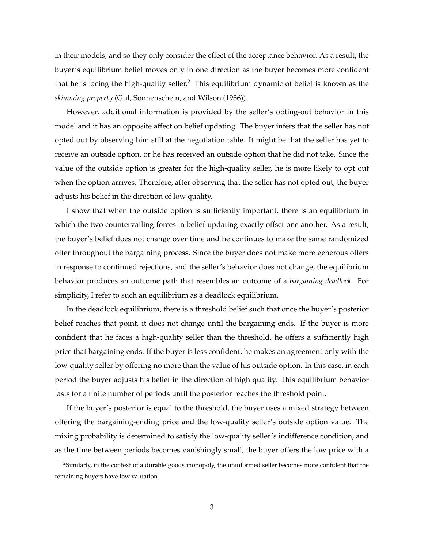in their models, and so they only consider the effect of the acceptance behavior. As a result, the buyer's equilibrium belief moves only in one direction as the buyer becomes more confident that he is facing the high-quality seller.<sup>2</sup> This equilibrium dynamic of belief is known as the *skimming property* (Gul, Sonnenschein, and Wilson (1986)).

However, additional information is provided by the seller's opting-out behavior in this model and it has an opposite affect on belief updating. The buyer infers that the seller has not opted out by observing him still at the negotiation table. It might be that the seller has yet to receive an outside option, or he has received an outside option that he did not take. Since the value of the outside option is greater for the high-quality seller, he is more likely to opt out when the option arrives. Therefore, after observing that the seller has not opted out, the buyer adjusts his belief in the direction of low quality.

I show that when the outside option is sufficiently important, there is an equilibrium in which the two countervailing forces in belief updating exactly offset one another. As a result, the buyer's belief does not change over time and he continues to make the same randomized offer throughout the bargaining process. Since the buyer does not make more generous offers in response to continued rejections, and the seller's behavior does not change, the equilibrium behavior produces an outcome path that resembles an outcome of a *bargaining deadlock*. For simplicity, I refer to such an equilibrium as a deadlock equilibrium.

In the deadlock equilibrium, there is a threshold belief such that once the buyer's posterior belief reaches that point, it does not change until the bargaining ends. If the buyer is more confident that he faces a high-quality seller than the threshold, he offers a sufficiently high price that bargaining ends. If the buyer is less confident, he makes an agreement only with the low-quality seller by offering no more than the value of his outside option. In this case, in each period the buyer adjusts his belief in the direction of high quality. This equilibrium behavior lasts for a finite number of periods until the posterior reaches the threshold point.

If the buyer's posterior is equal to the threshold, the buyer uses a mixed strategy between offering the bargaining-ending price and the low-quality seller's outside option value. The mixing probability is determined to satisfy the low-quality seller's indifference condition, and as the time between periods becomes vanishingly small, the buyer offers the low price with a

<sup>&</sup>lt;sup>2</sup>Similarly, in the context of a durable goods monopoly, the uninformed seller becomes more confident that the remaining buyers have low valuation.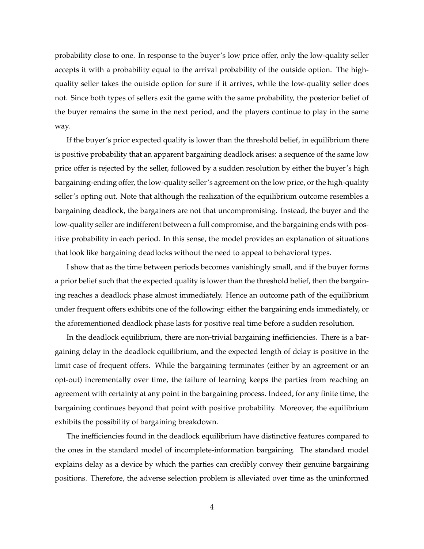probability close to one. In response to the buyer's low price offer, only the low-quality seller accepts it with a probability equal to the arrival probability of the outside option. The highquality seller takes the outside option for sure if it arrives, while the low-quality seller does not. Since both types of sellers exit the game with the same probability, the posterior belief of the buyer remains the same in the next period, and the players continue to play in the same way.

If the buyer's prior expected quality is lower than the threshold belief, in equilibrium there is positive probability that an apparent bargaining deadlock arises: a sequence of the same low price offer is rejected by the seller, followed by a sudden resolution by either the buyer's high bargaining-ending offer, the low-quality seller's agreement on the low price, or the high-quality seller's opting out. Note that although the realization of the equilibrium outcome resembles a bargaining deadlock, the bargainers are not that uncompromising. Instead, the buyer and the low-quality seller are indifferent between a full compromise, and the bargaining ends with positive probability in each period. In this sense, the model provides an explanation of situations that look like bargaining deadlocks without the need to appeal to behavioral types.

I show that as the time between periods becomes vanishingly small, and if the buyer forms a prior belief such that the expected quality is lower than the threshold belief, then the bargaining reaches a deadlock phase almost immediately. Hence an outcome path of the equilibrium under frequent offers exhibits one of the following: either the bargaining ends immediately, or the aforementioned deadlock phase lasts for positive real time before a sudden resolution.

In the deadlock equilibrium, there are non-trivial bargaining inefficiencies. There is a bargaining delay in the deadlock equilibrium, and the expected length of delay is positive in the limit case of frequent offers. While the bargaining terminates (either by an agreement or an opt-out) incrementally over time, the failure of learning keeps the parties from reaching an agreement with certainty at any point in the bargaining process. Indeed, for any finite time, the bargaining continues beyond that point with positive probability. Moreover, the equilibrium exhibits the possibility of bargaining breakdown.

The inefficiencies found in the deadlock equilibrium have distinctive features compared to the ones in the standard model of incomplete-information bargaining. The standard model explains delay as a device by which the parties can credibly convey their genuine bargaining positions. Therefore, the adverse selection problem is alleviated over time as the uninformed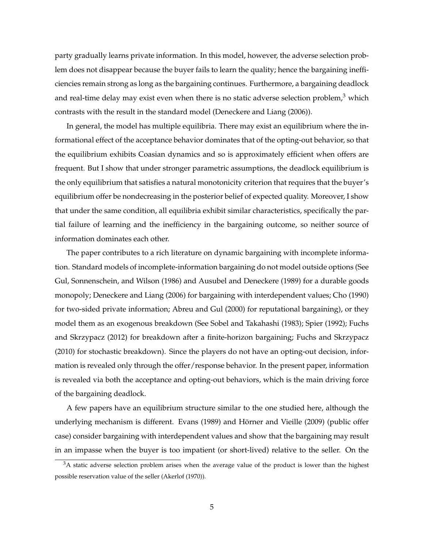party gradually learns private information. In this model, however, the adverse selection problem does not disappear because the buyer fails to learn the quality; hence the bargaining inefficiencies remain strong as long as the bargaining continues. Furthermore, a bargaining deadlock and real-time delay may exist even when there is no static adverse selection problem, $3$  which contrasts with the result in the standard model (Deneckere and Liang (2006)).

In general, the model has multiple equilibria. There may exist an equilibrium where the informational effect of the acceptance behavior dominates that of the opting-out behavior, so that the equilibrium exhibits Coasian dynamics and so is approximately efficient when offers are frequent. But I show that under stronger parametric assumptions, the deadlock equilibrium is the only equilibrium that satisfies a natural monotonicity criterion that requires that the buyer's equilibrium offer be nondecreasing in the posterior belief of expected quality. Moreover, I show that under the same condition, all equilibria exhibit similar characteristics, specifically the partial failure of learning and the inefficiency in the bargaining outcome, so neither source of information dominates each other.

The paper contributes to a rich literature on dynamic bargaining with incomplete information. Standard models of incomplete-information bargaining do not model outside options (See Gul, Sonnenschein, and Wilson (1986) and Ausubel and Deneckere (1989) for a durable goods monopoly; Deneckere and Liang (2006) for bargaining with interdependent values; Cho (1990) for two-sided private information; Abreu and Gul (2000) for reputational bargaining), or they model them as an exogenous breakdown (See Sobel and Takahashi (1983); Spier (1992); Fuchs and Skrzypacz (2012) for breakdown after a finite-horizon bargaining; Fuchs and Skrzypacz (2010) for stochastic breakdown). Since the players do not have an opting-out decision, information is revealed only through the offer/response behavior. In the present paper, information is revealed via both the acceptance and opting-out behaviors, which is the main driving force of the bargaining deadlock.

A few papers have an equilibrium structure similar to the one studied here, although the underlying mechanism is different. Evans (1989) and Hörner and Vieille (2009) (public offer case) consider bargaining with interdependent values and show that the bargaining may result in an impasse when the buyer is too impatient (or short-lived) relative to the seller. On the

<sup>&</sup>lt;sup>3</sup>A static adverse selection problem arises when the average value of the product is lower than the highest possible reservation value of the seller (Akerlof (1970)).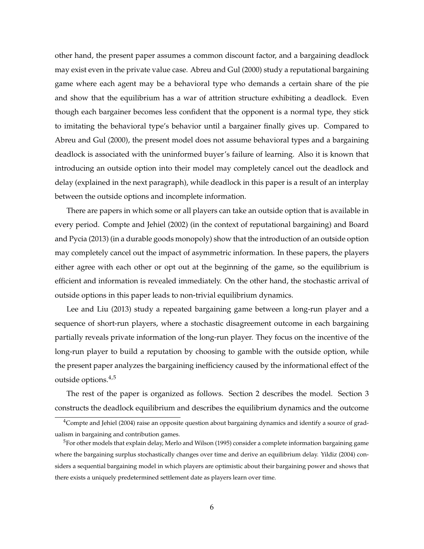other hand, the present paper assumes a common discount factor, and a bargaining deadlock may exist even in the private value case. Abreu and Gul (2000) study a reputational bargaining game where each agent may be a behavioral type who demands a certain share of the pie and show that the equilibrium has a war of attrition structure exhibiting a deadlock. Even though each bargainer becomes less confident that the opponent is a normal type, they stick to imitating the behavioral type's behavior until a bargainer finally gives up. Compared to Abreu and Gul (2000), the present model does not assume behavioral types and a bargaining deadlock is associated with the uninformed buyer's failure of learning. Also it is known that introducing an outside option into their model may completely cancel out the deadlock and delay (explained in the next paragraph), while deadlock in this paper is a result of an interplay between the outside options and incomplete information.

There are papers in which some or all players can take an outside option that is available in every period. Compte and Jehiel (2002) (in the context of reputational bargaining) and Board and Pycia (2013) (in a durable goods monopoly) show that the introduction of an outside option may completely cancel out the impact of asymmetric information. In these papers, the players either agree with each other or opt out at the beginning of the game, so the equilibrium is efficient and information is revealed immediately. On the other hand, the stochastic arrival of outside options in this paper leads to non-trivial equilibrium dynamics.

Lee and Liu (2013) study a repeated bargaining game between a long-run player and a sequence of short-run players, where a stochastic disagreement outcome in each bargaining partially reveals private information of the long-run player. They focus on the incentive of the long-run player to build a reputation by choosing to gamble with the outside option, while the present paper analyzes the bargaining inefficiency caused by the informational effect of the outside options.4,5

The rest of the paper is organized as follows. Section 2 describes the model. Section 3 constructs the deadlock equilibrium and describes the equilibrium dynamics and the outcome

 $4$ Compte and Jehiel (2004) raise an opposite question about bargaining dynamics and identify a source of gradualism in bargaining and contribution games.

<sup>&</sup>lt;sup>5</sup>For other models that explain delay, Merlo and Wilson (1995) consider a complete information bargaining game where the bargaining surplus stochastically changes over time and derive an equilibrium delay. Yildiz (2004) considers a sequential bargaining model in which players are optimistic about their bargaining power and shows that there exists a uniquely predetermined settlement date as players learn over time.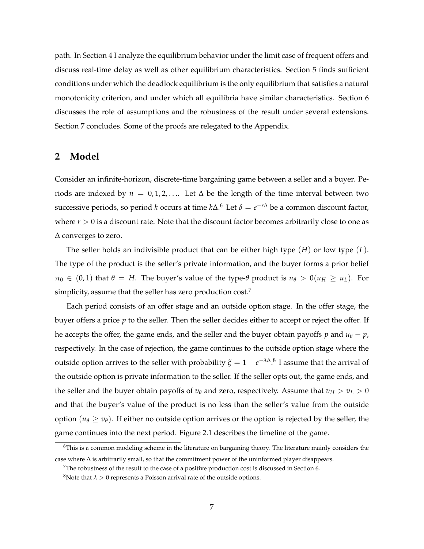path. In Section 4 I analyze the equilibrium behavior under the limit case of frequent offers and discuss real-time delay as well as other equilibrium characteristics. Section 5 finds sufficient conditions under which the deadlock equilibrium is the only equilibrium that satisfies a natural monotonicity criterion, and under which all equilibria have similar characteristics. Section 6 discusses the role of assumptions and the robustness of the result under several extensions. Section 7 concludes. Some of the proofs are relegated to the Appendix.

### **2 Model**

Consider an infinite-horizon, discrete-time bargaining game between a seller and a buyer. Periods are indexed by  $n = 0, 1, 2, \ldots$  Let  $\Delta$  be the length of the time interval between two successive periods, so period  $k$  occurs at time  $k\Delta$ . $^6$  Let  $\delta=e^{-r\Delta}$  be a common discount factor, where  $r > 0$  is a discount rate. Note that the discount factor becomes arbitrarily close to one as  $\Delta$  converges to zero.

The seller holds an indivisible product that can be either high type (*H*) or low type (*L*). The type of the product is the seller's private information, and the buyer forms a prior belief  $\pi_0 \in (0, 1)$  that  $\theta = H$ . The buyer's value of the type- $\theta$  product is  $u_{\theta} > 0(u_H \ge u_L)$ . For simplicity, assume that the seller has zero production cost.<sup>7</sup>

Each period consists of an offer stage and an outside option stage. In the offer stage, the buyer offers a price *p* to the seller. Then the seller decides either to accept or reject the offer. If he accepts the offer, the game ends, and the seller and the buyer obtain payoffs  $p$  and  $u_{\theta} - p$ , respectively. In the case of rejection, the game continues to the outside option stage where the outside option arrives to the seller with probability  $\xi = 1 - e^{-\lambda \Delta}$ .<sup>8</sup> I assume that the arrival of the outside option is private information to the seller. If the seller opts out, the game ends, and the seller and the buyer obtain payoffs of  $v_{\theta}$  and zero, respectively. Assume that  $v_H > v_L > 0$ and that the buyer's value of the product is no less than the seller's value from the outside option  $(u_{\theta} \ge v_{\theta})$ . If either no outside option arrives or the option is rejected by the seller, the game continues into the next period. Figure 2.1 describes the timeline of the game.

 $6$ This is a common modeling scheme in the literature on bargaining theory. The literature mainly considers the case where  $\Delta$  is arbitrarily small, so that the commitment power of the uninformed player disappears.

 $7$ The robustness of the result to the case of a positive production cost is discussed in Section 6.

<sup>&</sup>lt;sup>8</sup>Note that  $\lambda > 0$  represents a Poisson arrival rate of the outside options.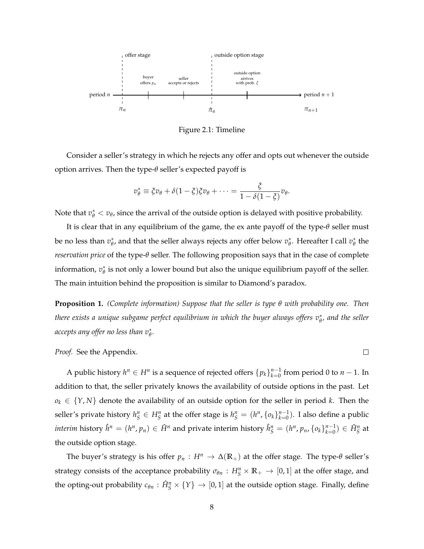

Figure 2.1: Timeline

Consider a seller's strategy in which he rejects any offer and opts out whenever the outside option arrives. Then the type-*q* seller's expected payoff is

$$
v_{\theta}^* \equiv \xi v_{\theta} + \delta (1 - \xi) \xi v_{\theta} + \cdots = \frac{\xi}{1 - \delta (1 - \xi)} v_{\theta}.
$$

Note that  $v^*_{\theta} < v_{\theta}$ , since the arrival of the outside option is delayed with positive probability.

It is clear that in any equilibrium of the game, the  $ex$  ante payoff of the type- $\theta$  seller must be no less than  $v_{\theta}^*$ , and that the seller always rejects any offer below  $v_{\theta}^*$ . Hereafter I call  $v_{\theta}^*$  the *reservation price* of the type-*q* seller. The following proposition says that in the case of complete information,  $v_{\theta}^*$  is not only a lower bound but also the unique equilibrium payoff of the seller. The main intuition behind the proposition is similar to Diamond's paradox.

**Proposition 1.** *(Complete information) Suppose that the seller is type q with probability one. Then* there exists a unique subgame perfect equilibrium in which the buyer always offers  $v_\theta^*$ , and the seller accepts any offer no less than  $v^*_\theta.$ 

 $\Box$ 

#### *Proof.* See the Appendix.

A public history  $h^n \in H^n$  is a sequence of rejected offers  $\{p_k\}_{k=0}^{n-1}$  from period 0 to  $n-1$ . In addition to that, the seller privately knows the availability of outside options in the past. Let  $o_k \in \{Y, N\}$  denote the availability of an outside option for the seller in period *k*. Then the seller's private history  $h_S^n \in H_S^n$  at the offer stage is  $h_S^n = (h^n, \{o_k\}_{k=0}^{n-1})$ . I also define a public *interim* history  $\hat{h}^n = (h^n, p_n) \in \hat{H}^n$  and private interim history  $\hat{h}^n_S = (h^n, p_n, \{o_k\}_{k=0}^{n-1}) \in \hat{H}^n_S$  at the outside option stage.

The buyer's strategy is his offer  $p_n : H^n \to \Delta(\mathbb{R}_+)$  at the offer stage. The type- $\theta$  seller's strategy consists of the acceptance probability  $\sigma_{\theta n}$  :  $H_S^n \times \mathbb{R}_+ \to [0,1]$  at the offer stage, and the opting-out probability  $c_{\theta n}$  :  $\hat{H}_{S}^{n} \times \{Y\} \to [0,1]$  at the outside option stage. Finally, define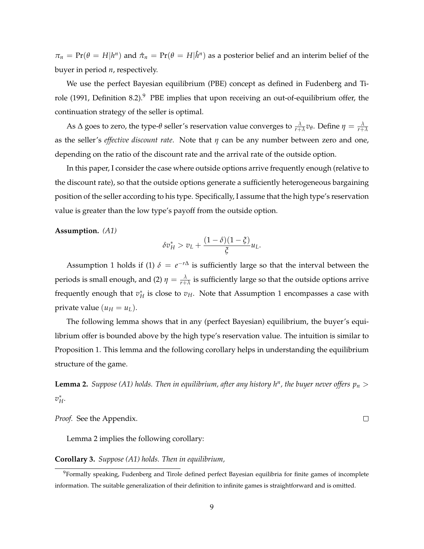$\pi_n = Pr(\theta = H|h^n)$  and  $\hat{\pi}_n = Pr(\theta = H|\hat{h}^n)$  as a posterior belief and an interim belief of the buyer in period *n*, respectively.

We use the perfect Bayesian equilibrium (PBE) concept as defined in Fudenberg and Tirole (1991, Definition 8.2).<sup>9</sup> PBE implies that upon receiving an out-of-equilibrium offer, the continuation strategy of the seller is optimal.

As  $\Delta$  goes to zero, the type- $\theta$  seller's reservation value converges to  $\frac{\lambda}{r+\lambda}v_\theta$ . Define  $\eta=\frac{\lambda}{r+\lambda}$ as the seller's *effective discount rate*. Note that *h* can be any number between zero and one, depending on the ratio of the discount rate and the arrival rate of the outside option.

In this paper, I consider the case where outside options arrive frequently enough (relative to the discount rate), so that the outside options generate a sufficiently heterogeneous bargaining position of the seller according to his type. Specifically, I assume that the high type's reservation value is greater than the low type's payoff from the outside option.

**Assumption.** *(A1)*

$$
\delta v_H^* > v_L + \frac{(1-\delta)(1-\xi)}{\xi}u_L.
$$

Assumption 1 holds if (1)  $\delta = e^{-r\Delta}$  is sufficiently large so that the interval between the periods is small enough, and (2)  $\eta = \frac{\lambda}{r+\lambda}$  is sufficiently large so that the outside options arrive frequently enough that  $v_H^*$  is close to  $v_H$ . Note that Assumption 1 encompasses a case with private value  $(u_H = u_L)$ .

The following lemma shows that in any (perfect Bayesian) equilibrium, the buyer's equilibrium offer is bounded above by the high type's reservation value. The intuition is similar to Proposition 1. This lemma and the following corollary helps in understanding the equilibrium structure of the game.

**Lemma 2.** *Suppose (A1) holds. Then in equilibrium, after any history h<sup>n</sup>, the buyer never offers*  $p_n$  *>*  $v^*_{H}$ .

*Proof.* See the Appendix.

Lemma 2 implies the following corollary:

**Corollary 3.** *Suppose (A1) holds. Then in equilibrium,*

 $\Box$ 

<sup>9</sup>Formally speaking, Fudenberg and Tirole defined perfect Bayesian equilibria for finite games of incomplete information. The suitable generalization of their definition to infinite games is straightforward and is omitted.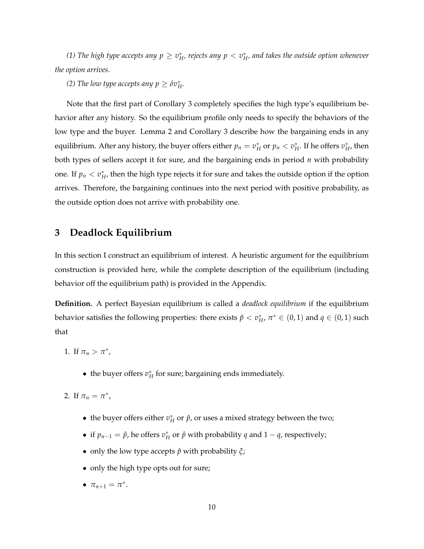(1) The high type accepts any  $p\geq v^*_H$ , rejects any  $p< v^*_H$ , and takes the outside option whenever *the option arrives.*

*(2) The low type accepts any*  $p \geq \delta v_H^*$ *.* 

Note that the first part of Corollary 3 completely specifies the high type's equilibrium behavior after any history. So the equilibrium profile only needs to specify the behaviors of the low type and the buyer. Lemma 2 and Corollary 3 describe how the bargaining ends in any equilibrium. After any history, the buyer offers either  $p_n=v_H^*$  or  $p_n < v_H^*$ . If he offers  $v_H^*$ , then both types of sellers accept it for sure, and the bargaining ends in period *n* with probability one. If  $p_n < v_H^*$ , then the high type rejects it for sure and takes the outside option if the option arrives. Therefore, the bargaining continues into the next period with positive probability, as the outside option does not arrive with probability one.

## **3 Deadlock Equilibrium**

In this section I construct an equilibrium of interest. A heuristic argument for the equilibrium construction is provided here, while the complete description of the equilibrium (including behavior off the equilibrium path) is provided in the Appendix.

**Definition.** A perfect Bayesian equilibrium is called a *deadlock equilibrium* if the equilibrium behavior satisfies the following properties: there exists  $\hat{p} < v_H^*$ ,  $\pi^* \in (0,1)$  and  $q \in (0,1)$  such that

- 1. If  $\pi_n > \pi^*$ ,
	- the buyer offers  $v_H^*$  for sure; bargaining ends immediately.
- 2. If  $\pi_n = \pi^*$ ,
	- the buyer offers either  $v_H^*$  or  $\hat{p}$ , or uses a mixed strategy between the two;
	- if  $p_{n-1} = \hat{p}$ , he offers  $v_H^*$  or  $\hat{p}$  with probability *q* and  $1 q$ , respectively;
	- only the low type accepts  $\hat{p}$  with probability  $\xi$ ;
	- only the high type opts out for sure;
	- $\pi_{n+1} = \pi^*$ .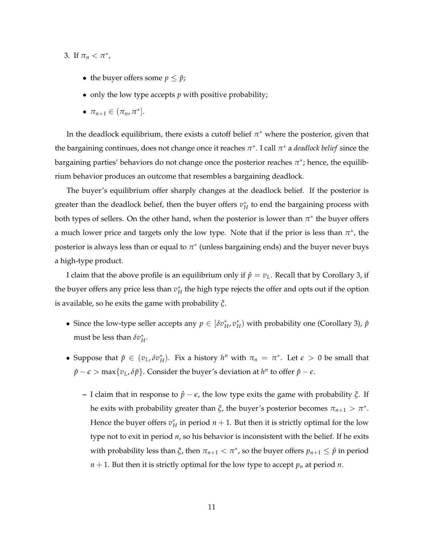- 3. If  $\pi_n < \pi^*$ ,
	- the buyer offers some  $p \leq \hat{p}$ ;
	- only the low type accepts *p* with positive probability;
	- $\pi_{n+1} \in (\pi_n, \pi^*].$

In the deadlock equilibrium, there exists a cutoff belief  $\pi^*$  where the posterior, given that the bargaining continues, does not change once it reaches  $\pi^*$ . I call  $\pi^*$  a *deadlock belief* since the bargaining parties' behaviors do not change once the posterior reaches  $\pi^*$ ; hence, the equilibrium behavior produces an outcome that resembles a bargaining deadlock.

The buyer's equilibrium offer sharply changes at the deadlock belief. If the posterior is greater than the deadlock belief, then the buyer offers  $v_H^*$  to end the bargaining process with both types of sellers. On the other hand, when the posterior is lower than  $\pi^*$  the buyer offers a much lower price and targets only the low type. Note that if the prior is less than  $\pi^*$ , the posterior is always less than or equal to  $\pi^*$  (unless bargaining ends) and the buyer never buys a high-type product.

I claim that the above profile is an equilibrium only if  $\hat{p} = v_L$ . Recall that by Corollary 3, if the buyer offers any price less than  $v_H^\ast$  the high type rejects the offer and opts out if the option is available, so he exits the game with probability *x*.

- Since the low-type seller accepts any  $p \in [\delta v_H^*, v_H^*]$  with probability one (Corollary 3),  $\hat{p}$ must be less than  $\delta v_H^*$ .
- Suppose that  $\hat{p} \in (v_L, \delta v_H^*)$ . Fix a history  $h^n$  with  $\pi_n = \pi^*$ . Let  $\epsilon > 0$  be small that  $\hat{p} - \epsilon$  > max $\{v_L, \delta \hat{p}\}$ . Consider the buyer's deviation at  $h^n$  to offer  $\hat{p} - \epsilon$ .
	- **–** I claim that in response to  $\hat{p} \epsilon$ , the low type exits the game with probability  $\xi$ . If he exits with probability greater than  $\xi$ , the buyer's posterior becomes  $\pi_{n+1} > \pi^*$ . Hence the buyer offers  $v_H^*$  in period  $n+1$ . But then it is strictly optimal for the low type not to exit in period *n*, so his behavior is inconsistent with the belief. If he exits with probability less than  $\xi$ , then  $\pi_{n+1} < \pi^*$ , so the buyer offers  $p_{n+1} \leq \hat{p}$  in period  $n + 1$ . But then it is strictly optimal for the low type to accept  $p_n$  at period *n*.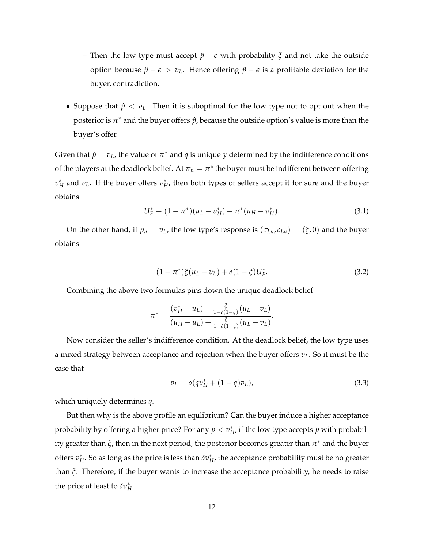- **–** Then the low type must accept  $\hat{p}$   $\epsilon$  with probability  $\zeta$  and not take the outside option because  $\hat{p} - \epsilon > v_L$ . Hence offering  $\hat{p} - \epsilon$  is a profitable deviation for the buyer, contradiction.
- Suppose that  $\hat{p}$  <  $v_L$ . Then it is suboptimal for the low type not to opt out when the posterior is  $\pi^*$  and the buyer offers  $\hat{p}$ , because the outside option's value is more than the buyer's offer.

Given that  $\hat{p} = v_L$ , the value of  $\pi^*$  and *q* is uniquely determined by the indifference conditions of the players at the deadlock belief. At  $\pi_n = \pi^*$  the buyer must be indifferent between offering  $v_H^*$  and  $v_L$ . If the buyer offers  $v_H^*$ , then both types of sellers accept it for sure and the buyer obtains

$$
U_F^* \equiv (1 - \pi^*)(u_L - v_H^*) + \pi^*(u_H - v_H^*).
$$
\n(3.1)

On the other hand, if  $p_n = v_L$ , the low type's response is  $(\sigma_{Ln}, c_{Ln}) = (\xi, 0)$  and the buyer obtains

$$
(1 - \pi^*)\xi(u_L - v_L) + \delta(1 - \xi)U_F^*.
$$
\n(3.2)

Combining the above two formulas pins down the unique deadlock belief

$$
\pi^* = \frac{(v_H^* - u_L) + \frac{\xi}{1 - \delta(1 - \xi)}(u_L - v_L)}{(u_H - u_L) + \frac{\xi}{1 - \delta(1 - \xi)}(u_L - v_L)}
$$

Now consider the seller's indifference condition. At the deadlock belief, the low type uses a mixed strategy between acceptance and rejection when the buyer offers  $v<sub>L</sub>$ . So it must be the case that

$$
v_L = \delta(qv_H^* + (1-q)v_L), \tag{3.3}
$$

.

which uniquely determines *q*.

But then why is the above profile an equlibrium? Can the buyer induce a higher acceptance probability by offering a higher price? For any  $p < v_H^*$ , if the low type accepts  $p$  with probability greater than  $\xi$ , then in the next period, the posterior becomes greater than  $\pi^*$  and the buyer offers  $v_H^*$ . So as long as the price is less than  $\delta v_H^*$ , the acceptance probability must be no greater than *x*. Therefore, if the buyer wants to increase the acceptance probability, he needs to raise the price at least to  $\delta v_H^*$ .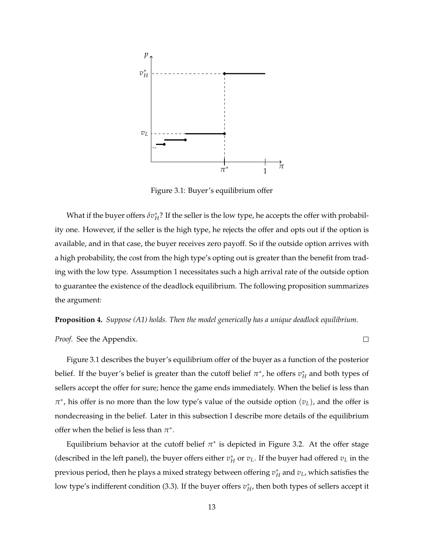

Figure 3.1: Buyer's equilibrium offer

What if the buyer offers  $\delta v_H^*$ ? If the seller is the low type, he accepts the offer with probability one. However, if the seller is the high type, he rejects the offer and opts out if the option is available, and in that case, the buyer receives zero payoff. So if the outside option arrives with a high probability, the cost from the high type's opting out is greater than the benefit from trading with the low type. Assumption 1 necessitates such a high arrival rate of the outside option to guarantee the existence of the deadlock equilibrium. The following proposition summarizes the argument:

**Proposition 4.** *Suppose (A1) holds. Then the model generically has a unique deadlock equilibrium.*

 $\Box$ 

*Proof.* See the Appendix.

Figure 3.1 describes the buyer's equilibrium offer of the buyer as a function of the posterior belief. If the buyer's belief is greater than the cutoff belief  $\pi^*$ , he offers  $v_H^*$  and both types of sellers accept the offer for sure; hence the game ends immediately. When the belief is less than  $\pi^*$ , his offer is no more than the low type's value of the outside option  $(v_L)$ , and the offer is nondecreasing in the belief. Later in this subsection I describe more details of the equilibrium offer when the belief is less than  $\pi^*$ .

Equilibrium behavior at the cutoff belief  $\pi^*$  is depicted in Figure 3.2. At the offer stage (described in the left panel), the buyer offers either  $v_H^*$  or  $v_L$ . If the buyer had offered  $v_L$  in the previous period, then he plays a mixed strategy between offering  $v_{H}^*$  and  $v_{L}$ , which satisfies the low type's indifferent condition (3.3). If the buyer offers  $v_H^*$ , then both types of sellers accept it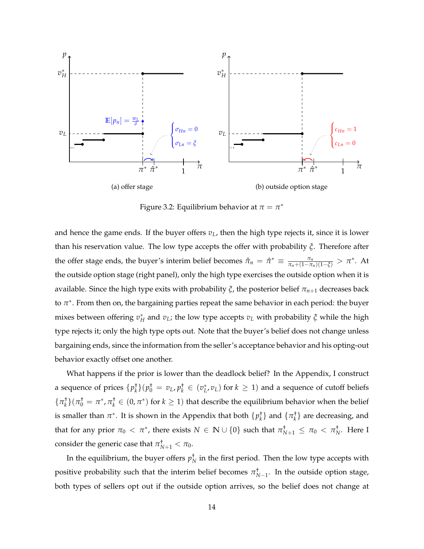

Figure 3.2: Equilibrium behavior at  $\pi = \pi^*$ 

and hence the game ends. If the buyer offers  $v_L$ , then the high type rejects it, since it is lower than his reservation value. The low type accepts the offer with probability *x*. Therefore after the offer stage ends, the buyer's interim belief becomes  $\hat{\pi}_n = \hat{\pi}^* \equiv \frac{\pi_n}{\pi_n + (1 - \pi_n)(1 - \xi)} > \pi^*$ . At the outside option stage (right panel), only the high type exercises the outside option when it is available. Since the high type exits with probability  $\xi$ , the posterior belief  $\pi_{n+1}$  decreases back to  $\pi^*$ . From then on, the bargaining parties repeat the same behavior in each period: the buyer mixes between offering  $v_H^*$  and  $v_L$ ; the low type accepts  $v_L$  with probability  $\xi$  while the high type rejects it; only the high type opts out. Note that the buyer's belief does not change unless bargaining ends, since the information from the seller's acceptance behavior and his opting-out behavior exactly offset one another.

What happens if the prior is lower than the deadlock belief? In the Appendix, I construct a sequence of prices  $\{p_k^{\dagger}\}(p_0^{\dagger} = v_L, p_k^{\dagger} \in (v_L^*, v_L)$  for  $k \ge 1)$  and a sequence of cutoff beliefs  $\{\pi_k^{\dagger}\}$  $(\pi_0^{\dagger} = \pi^*, \pi_k^{\dagger} \in (0, \pi^*)$  for  $k \ge 1$ ) that describe the equilibrium behavior when the belief is smaller than  $\pi^*$ . It is shown in the Appendix that both  $\{p_k^{\dagger}\}$  and  $\{\pi_k^{\dagger}\}$  are decreasing, and that for any prior  $\pi_0 < \pi^*$ , there exists  $N \in \mathbb{N} \cup \{0\}$  such that  $\pi^+_{N+1} \leq \pi_0 < \pi^+_{N}$ . Here I consider the generic case that  $\pi^{\dagger}_{N+1} < \pi_0$ .

In the equilibrium, the buyer offers  $p_N^\dagger$  in the first period. Then the low type accepts with positive probability such that the interim belief becomes  $\pi^{\dagger}_{N-1}$ . In the outside option stage, both types of sellers opt out if the outside option arrives, so the belief does not change at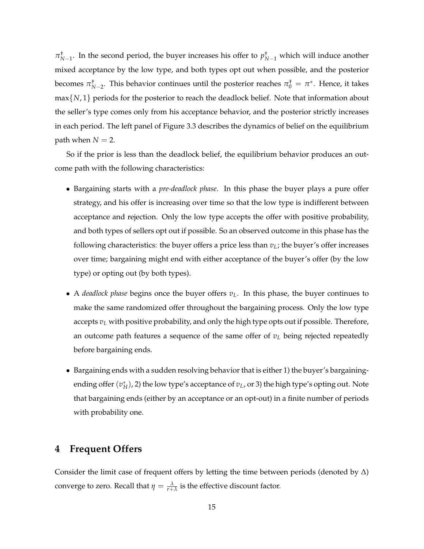$\pi^{\dagger}_{N-1}$ . In the second period, the buyer increases his offer to  $p^{\dagger}_{N-1}$  which will induce another mixed acceptance by the low type, and both types opt out when possible, and the posterior becomes  $\pi^+_{N-2}$ . This behavior continues until the posterior reaches  $\pi^+_0 = \pi^*$ . Hence, it takes max*{N*, 1*}* periods for the posterior to reach the deadlock belief. Note that information about the seller's type comes only from his acceptance behavior, and the posterior strictly increases in each period. The left panel of Figure 3.3 describes the dynamics of belief on the equilibrium path when  $N = 2$ .

So if the prior is less than the deadlock belief, the equilibrium behavior produces an outcome path with the following characteristics:

- *•* Bargaining starts with a *pre-deadlock phase*. In this phase the buyer plays a pure offer strategy, and his offer is increasing over time so that the low type is indifferent between acceptance and rejection. Only the low type accepts the offer with positive probability, and both types of sellers opt out if possible. So an observed outcome in this phase has the following characteristics: the buyer offers a price less than  $v<sub>L</sub>$ ; the buyer's offer increases over time; bargaining might end with either acceptance of the buyer's offer (by the low type) or opting out (by both types).
- A *deadlock phase* begins once the buyer offers  $v<sub>L</sub>$ . In this phase, the buyer continues to make the same randomized offer throughout the bargaining process. Only the low type accepts  $v<sub>L</sub>$  with positive probability, and only the high type opts out if possible. Therefore, an outcome path features a sequence of the same offer of  $v<sub>L</sub>$  being rejected repeatedly before bargaining ends.
- *•* Bargaining ends with a sudden resolving behavior that is either 1) the buyer's bargainingending offer  $(v_H^*)$ , 2) the low type's acceptance of  $v_L$ , or 3) the high type's opting out. Note that bargaining ends (either by an acceptance or an opt-out) in a finite number of periods with probability one.

## **4 Frequent Offers**

Consider the limit case of frequent offers by letting the time between periods (denoted by  $\Delta$ ) converge to zero. Recall that  $\eta = \frac{\lambda}{r + \lambda}$  is the effective discount factor.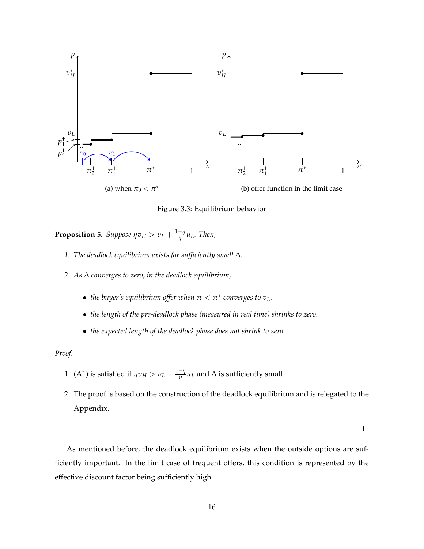

Figure 3.3: Equilibrium behavior

**Proposition 5.** Suppose  $\eta v_H > v_L + \frac{1-\eta}{\eta} u_L$ . Then,

- 1. The deadlock equilibrium exists for sufficiently small  $\Delta$ .
- *2. As* ∆ *converges to zero, in the deadlock equilibrium,* 
	- *the buyer's equilibrium offer when*  $\pi < \pi^*$  *converges to v*<sub>L</sub>.
	- *• the length of the pre-deadlock phase (measured in real time) shrinks to zero.*
	- *• the expected length of the deadlock phase does not shrink to zero.*

#### *Proof.*

- 1. (A1) is satisfied if  $\eta v_H > v_L + \frac{1-\eta}{\eta} u_L$  and  $\Delta$  is sufficiently small.
- 2. The proof is based on the construction of the deadlock equilibrium and is relegated to the Appendix.

 $\Box$ 

As mentioned before, the deadlock equilibrium exists when the outside options are sufficiently important. In the limit case of frequent offers, this condition is represented by the effective discount factor being sufficiently high.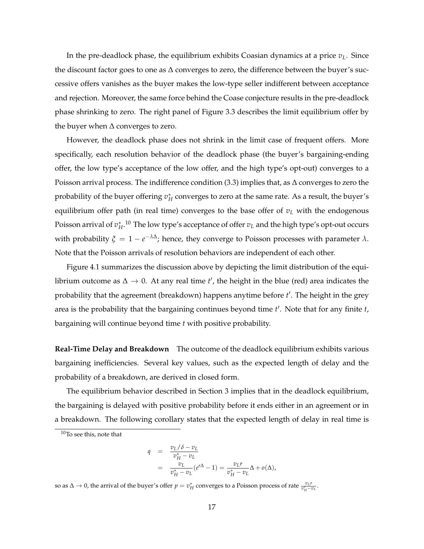In the pre-deadlock phase, the equilibrium exhibits Coasian dynamics at a price *vL*. Since the discount factor goes to one as  $\Delta$  converges to zero, the difference between the buyer's successive offers vanishes as the buyer makes the low-type seller indifferent between acceptance and rejection. Moreover, the same force behind the Coase conjecture results in the pre-deadlock phase shrinking to zero. The right panel of Figure 3.3 describes the limit equilibrium offer by the buyer when  $\Delta$  converges to zero.

However, the deadlock phase does not shrink in the limit case of frequent offers. More specifically, each resolution behavior of the deadlock phase (the buyer's bargaining-ending offer, the low type's acceptance of the low offer, and the high type's opt-out) converges to a Poisson arrival process. The indifference condition (3.3) implies that, as  $\Delta$  converges to zero the probability of the buyer offering  $v_H^*$  converges to zero at the same rate. As a result*,* the buyer's equilibrium offer path (in real time) converges to the base offer of  $v<sub>L</sub>$  with the endogenous Poisson arrival of  $v^*_H$ .<sup>10</sup> The low type's acceptance of offer  $v_L$  and the high type's opt-out occurs with probability  $\xi = 1 - e^{-\lambda \Delta}$ ; hence, they converge to Poisson processes with parameter  $\lambda$ . Note that the Poisson arrivals of resolution behaviors are independent of each other.

Figure 4.1 summarizes the discussion above by depicting the limit distribution of the equilibrium outcome as  $\Delta \to 0$ . At any real time *t'*, the height in the blue (red) area indicates the probability that the agreement (breakdown) happens anytime before *t* 0 . The height in the grey area is the probability that the bargaining continues beyond time *t'*. Note that for any finite *t*, bargaining will continue beyond time *t* with positive probability.

**Real-Time Delay and Breakdown** The outcome of the deadlock equilibrium exhibits various bargaining inefficiencies. Several key values, such as the expected length of delay and the probability of a breakdown, are derived in closed form.

The equilibrium behavior described in Section 3 implies that in the deadlock equilibrium, the bargaining is delayed with positive probability before it ends either in an agreement or in a breakdown. The following corollary states that the expected length of delay in real time is

$$
q = \frac{v_L/\delta - v_L}{v_H^* - v_L}
$$
  
= 
$$
\frac{v_L}{v_H^* - v_L}(e^{r\Delta} - 1) = \frac{v_L r}{v_H^* - v_L} \Delta + o(\Delta),
$$

so as  $\Delta \to 0$ , the arrival of the buyer's offer  $p = v_H^*$  converges to a Poisson process of rate  $\frac{v_L r}{v_H^* - v_L}$ .

<sup>10</sup>To see this, note that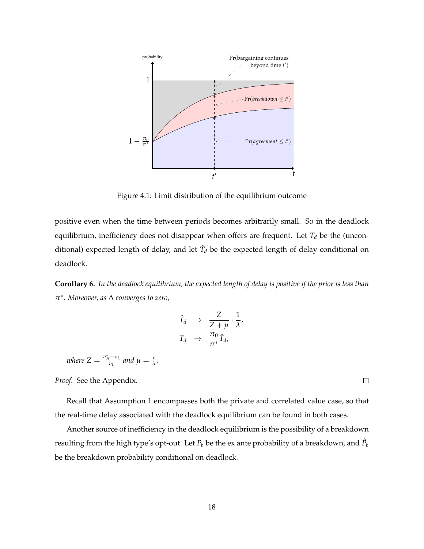

Figure 4.1: Limit distribution of the equilibrium outcome

positive even when the time between periods becomes arbitrarily small. So in the deadlock equilibrium, inefficiency does not disappear when offers are frequent. Let  $T_d$  be the (unconditional) expected length of delay, and let  $\hat{T}_d$  be the expected length of delay conditional on deadlock.

**Corollary 6.** *In the deadlock equilibrium, the expected length of delay is positive if the prior is less than*  $\pi^*$ . Moreover, as  $\Delta$  *converges to zero*,

$$
\hat{T}_d \rightarrow \frac{Z}{Z+\mu} \cdot \frac{1}{\lambda},
$$
\n
$$
T_d \rightarrow \frac{\pi_0}{\pi^*} \hat{T}_d,
$$

*where*  $Z = \frac{v_H^* - v_L}{v_L}$  and  $\mu = \frac{r}{\lambda}$ .

*Proof.* See the Appendix.

Recall that Assumption 1 encompasses both the private and correlated value case, so that the real-time delay associated with the deadlock equilibrium can be found in both cases.

Another source of inefficiency in the deadlock equilibrium is the possibility of a breakdown resulting from the high type's opt-out. Let  $P_b$  be the ex ante probability of a breakdown, and  $\hat{P_b}$ be the breakdown probability conditional on deadlock.

 $\Box$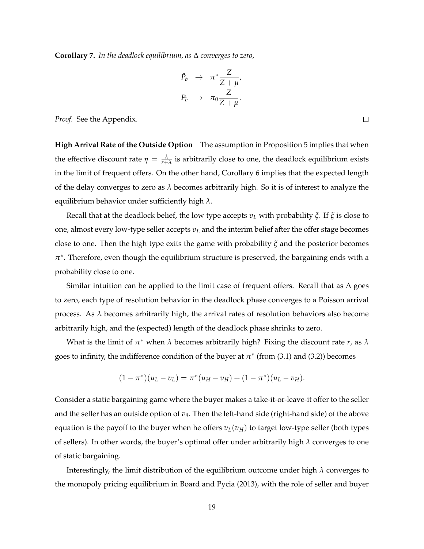**Corollary 7.** In the deadlock equilibrium, as ∆ converges to zero,

$$
\begin{array}{rcl}\n\hat{P}_b & \to & \pi^* \frac{Z}{Z + \mu'}, \\
P_b & \to & \pi_0 \frac{Z}{Z + \mu}.\n\end{array}
$$

*Proof.* See the Appendix.

**High Arrival Rate of the Outside Option** The assumption in Proposition 5 implies that when the effective discount rate  $\eta = \frac{\lambda}{r+\lambda}$  is arbitrarily close to one, the deadlock equilibrium exists in the limit of frequent offers. On the other hand, Corollary 6 implies that the expected length of the delay converges to zero as  $\lambda$  becomes arbitrarily high. So it is of interest to analyze the equilibrium behavior under sufficiently high  $\lambda$ .

Recall that at the deadlock belief, the low type accepts  $v_L$  with probability  $\zeta$ . If  $\zeta$  is close to one, almost every low-type seller accepts  $v<sub>L</sub>$  and the interim belief after the offer stage becomes close to one. Then the high type exits the game with probability  $\zeta$  and the posterior becomes  $\pi^*$ . Therefore, even though the equilibrium structure is preserved, the bargaining ends with a probability close to one.

Similar intuition can be applied to the limit case of frequent offers. Recall that as  $\Delta$  goes to zero, each type of resolution behavior in the deadlock phase converges to a Poisson arrival process. As  $\lambda$  becomes arbitrarily high, the arrival rates of resolution behaviors also become arbitrarily high, and the (expected) length of the deadlock phase shrinks to zero.

What is the limit of  $\pi^*$  when  $\lambda$  becomes arbitrarily high? Fixing the discount rate *r*, as  $\lambda$ goes to infinity, the indifference condition of the buyer at  $\pi^*$  (from (3.1) and (3.2)) becomes

$$
(1 - \pi^*)(u_L - v_L) = \pi^*(u_H - v_H) + (1 - \pi^*)(u_L - v_H).
$$

Consider a static bargaining game where the buyer makes a take-it-or-leave-it offer to the seller and the seller has an outside option of  $v_{\theta}$ . Then the left-hand side (right-hand side) of the above equation is the payoff to the buyer when he offers  $v_L(v_H)$  to target low-type seller (both types of sellers). In other words, the buyer's optimal offer under arbitrarily high  $\lambda$  converges to one of static bargaining.

Interestingly, the limit distribution of the equilibrium outcome under high  $\lambda$  converges to the monopoly pricing equilibrium in Board and Pycia (2013), with the role of seller and buyer

 $\Box$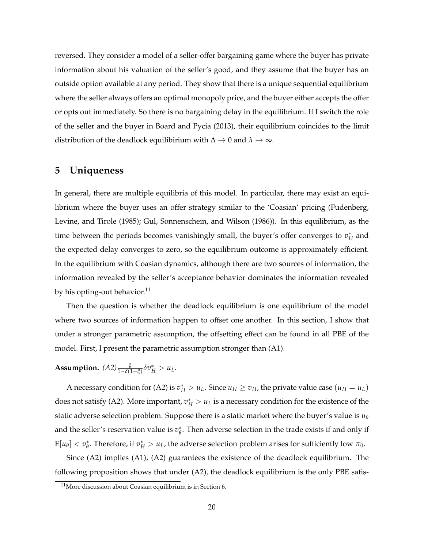reversed. They consider a model of a seller-offer bargaining game where the buyer has private information about his valuation of the seller's good, and they assume that the buyer has an outside option available at any period. They show that there is a unique sequential equilibrium where the seller always offers an optimal monopoly price, and the buyer either accepts the offer or opts out immediately. So there is no bargaining delay in the equilibrium. If I switch the role of the seller and the buyer in Board and Pycia (2013), their equilibrium coincides to the limit distribution of the deadlock equilibirium with  $\Delta \to 0$  and  $\lambda \to \infty$ .

## **5 Uniqueness**

In general, there are multiple equilibria of this model. In particular, there may exist an equilibrium where the buyer uses an offer strategy similar to the 'Coasian' pricing (Fudenberg, Levine, and Tirole (1985); Gul, Sonnenschein, and Wilson (1986)). In this equilibrium, as the time between the periods becomes vanishingly small, the buyer's offer converges to  $v_H^*$  and the expected delay converges to zero, so the equilibrium outcome is approximately efficient. In the equilibrium with Coasian dynamics, although there are two sources of information, the information revealed by the seller's acceptance behavior dominates the information revealed by his opting-out behavior.<sup>11</sup>

Then the question is whether the deadlock equilibrium is one equilibrium of the model where two sources of information happen to offset one another. In this section, I show that under a stronger parametric assumption, the offsetting effect can be found in all PBE of the model. First, I present the parametric assumption stronger than (A1).

**Assumption.**  $(A2) \frac{\xi}{1-\delta(1-\xi)} \delta v_H^* > u_L$ .

A necessary condition for (A2) is  $v_H^* > u_L$ . Since  $u_H \ge v_H$ , the private value case  $(u_H = u_L)$ does not satisfy (A2). More important,  $v_H^* > u_L$  is a necessary condition for the existence of the static adverse selection problem. Suppose there is a static market where the buyer's value is  $u_{\theta}$ and the seller's reservation value is  $v^*_\theta.$  Then adverse selection in the trade exists if and only if  $E[u_\theta] < v_\theta^*$ . Therefore, if  $v_H^* > u_L$ , the adverse selection problem arises for sufficiently low  $\pi_0$ .

Since (A2) implies (A1), (A2) guarantees the existence of the deadlock equilibrium. The following proposition shows that under (A2), the deadlock equilibrium is the only PBE satis-

<sup>11</sup>More discussion about Coasian equilibrium is in Section 6.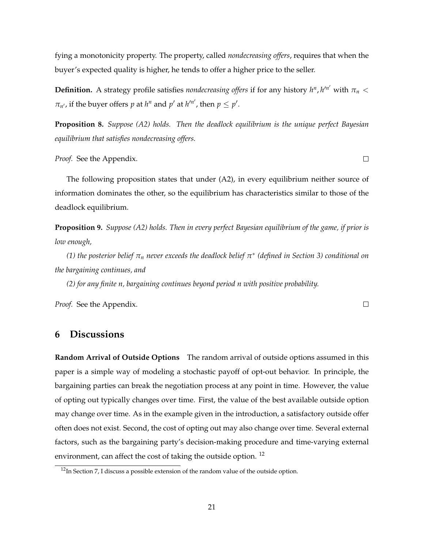fying a monotonicity property. The property, called *nondecreasing offers*, requires that when the buyer's expected quality is higher, he tends to offer a higher price to the seller.

**Definition.** A strategy profile satisfies *nondecreasing offers* if for any history  $h^n$ ,  $h'^{n'}$  with  $\pi_n <$  $\pi_{n'}$ , if the buyer offers *p* at *h*<sup>*n*</sup> and *p'* at *h'<sup>n'</sup>*, then  $p \leq p'$ .

**Proposition 8.** *Suppose (A2) holds. Then the deadlock equilibrium is the unique perfect Bayesian equilibrium that satisfies nondecreasing offers.*

*Proof.* See the Appendix.

The following proposition states that under (A2), in every equilibrium neither source of information dominates the other, so the equilibrium has characteristics similar to those of the deadlock equilibrium.

**Proposition 9.** *Suppose (A2) holds. Then in every perfect Bayesian equilibrium of the game, if prior is low enough,*

*(1) the posterior belief*  $\pi_n$  *never exceeds the deadlock belief*  $\pi^*$  *(defined in Section 3) conditional on the bargaining continues, and*

*(2) for any finite n, bargaining continues beyond period n with positive probability.*

*Proof.* See the Appendix.

**6 Discussions**

**Random Arrival of Outside Options** The random arrival of outside options assumed in this paper is a simple way of modeling a stochastic payoff of opt-out behavior. In principle, the bargaining parties can break the negotiation process at any point in time. However, the value of opting out typically changes over time. First, the value of the best available outside option may change over time. As in the example given in the introduction, a satisfactory outside offer often does not exist. Second, the cost of opting out may also change over time. Several external factors, such as the bargaining party's decision-making procedure and time-varying external environment, can affect the cost of taking the outside option.<sup>12</sup>

 $\Box$ 

 $\Box$ 

 $12$ In Section 7, I discuss a possible extension of the random value of the outside option.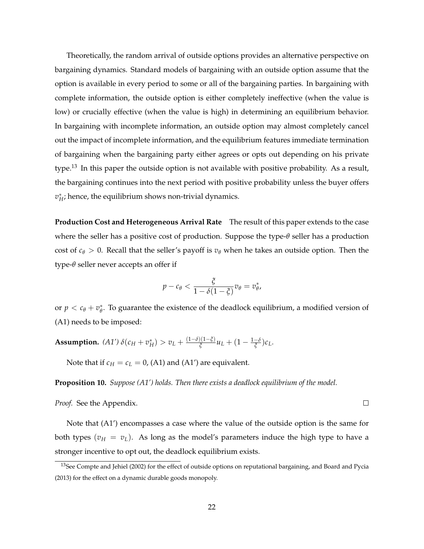Theoretically, the random arrival of outside options provides an alternative perspective on bargaining dynamics. Standard models of bargaining with an outside option assume that the option is available in every period to some or all of the bargaining parties. In bargaining with complete information, the outside option is either completely ineffective (when the value is low) or crucially effective (when the value is high) in determining an equilibrium behavior. In bargaining with incomplete information, an outside option may almost completely cancel out the impact of incomplete information, and the equilibrium features immediate termination of bargaining when the bargaining party either agrees or opts out depending on his private type.<sup>13</sup> In this paper the outside option is not available with positive probability. As a result, the bargaining continues into the next period with positive probability unless the buyer offers  $v_H^*$ ; hence, the equilibrium shows non-trivial dynamics.

**Production Cost and Heterogeneous Arrival Rate** The result of this paper extends to the case where the seller has a positive cost of production. Suppose the type- $\theta$  seller has a production cost of  $c_{\theta} > 0$ . Recall that the seller's payoff is  $v_{\theta}$  when he takes an outside option. Then the type-*q* seller never accepts an offer if

$$
p-c_{\theta}<\frac{\xi}{1-\delta(1-\xi)}v_{\theta}=v_{\theta}^*,
$$

or  $p < c_{\theta} + v_{\theta}^*$ . To guarantee the existence of the deadlock equilibrium, a modified version of (A1) needs to be imposed:

**Assumption.**  $(A1')\,\delta(c_H+v_H^*)\gt v_L+\frac{(1-\delta)(1-\xi)}{\xi}u_L+(1-\frac{1-\delta}{\xi})c_L.$ 

Note that if  $c_H = c_L = 0$ , (A1) and (A1') are equivalent.

**Proposition 10.** *Suppose (A1') holds. Then there exists a deadlock equilibrium of the model.*

*Proof.* See the Appendix.

Note that (A1') encompasses a case where the value of the outside option is the same for both types  $(v_H = v_L)$ . As long as the model's parameters induce the high type to have a stronger incentive to opt out, the deadlock equilibrium exists.

 $\Box$ 

<sup>&</sup>lt;sup>13</sup>See Compte and Jehiel (2002) for the effect of outside options on reputational bargaining, and Board and Pycia (2013) for the effect on a dynamic durable goods monopoly.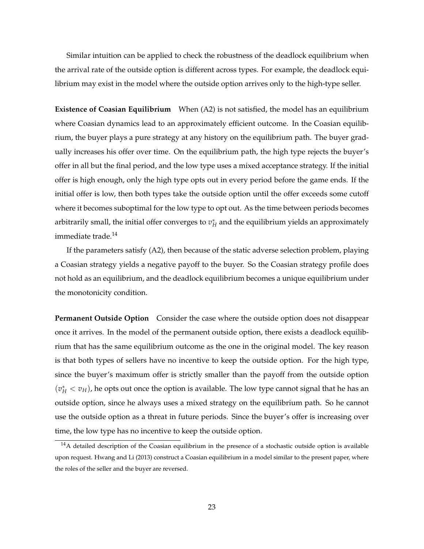Similar intuition can be applied to check the robustness of the deadlock equilibrium when the arrival rate of the outside option is different across types. For example, the deadlock equilibrium may exist in the model where the outside option arrives only to the high-type seller.

**Existence of Coasian Equilibrium** When (A2) is not satisfied, the model has an equilibrium where Coasian dynamics lead to an approximately efficient outcome. In the Coasian equilibrium, the buyer plays a pure strategy at any history on the equilibrium path. The buyer gradually increases his offer over time. On the equilibrium path, the high type rejects the buyer's offer in all but the final period, and the low type uses a mixed acceptance strategy. If the initial offer is high enough, only the high type opts out in every period before the game ends. If the initial offer is low, then both types take the outside option until the offer exceeds some cutoff where it becomes suboptimal for the low type to opt out. As the time between periods becomes arbitrarily small, the initial offer converges to  $v_{H}^{*}$  and the equilibrium yields an approximately immediate trade.<sup>14</sup>

If the parameters satisfy (A2), then because of the static adverse selection problem, playing a Coasian strategy yields a negative payoff to the buyer. So the Coasian strategy profile does not hold as an equilibrium, and the deadlock equilibrium becomes a unique equilibrium under the monotonicity condition.

**Permanent Outside Option** Consider the case where the outside option does not disappear once it arrives. In the model of the permanent outside option, there exists a deadlock equilibrium that has the same equilibrium outcome as the one in the original model. The key reason is that both types of sellers have no incentive to keep the outside option. For the high type, since the buyer's maximum offer is strictly smaller than the payoff from the outside option  $(v_H^* < v_H)$ , he opts out once the option is available. The low type cannot signal that he has an outside option, since he always uses a mixed strategy on the equilibrium path. So he cannot use the outside option as a threat in future periods. Since the buyer's offer is increasing over time, the low type has no incentive to keep the outside option.

<sup>&</sup>lt;sup>14</sup>A detailed description of the Coasian equilibrium in the presence of a stochastic outside option is available upon request. Hwang and Li (2013) construct a Coasian equilibrium in a model similar to the present paper, where the roles of the seller and the buyer are reversed.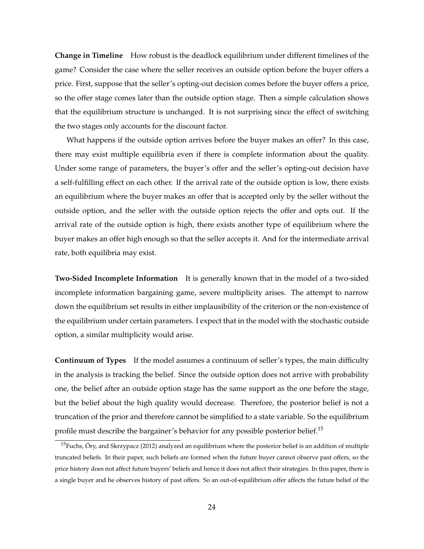**Change in Timeline** How robust is the deadlock equilibrium under different timelines of the game? Consider the case where the seller receives an outside option before the buyer offers a price. First, suppose that the seller's opting-out decision comes before the buyer offers a price, so the offer stage comes later than the outside option stage. Then a simple calculation shows that the equilibrium structure is unchanged. It is not surprising since the effect of switching the two stages only accounts for the discount factor.

What happens if the outside option arrives before the buyer makes an offer? In this case, there may exist multiple equilibria even if there is complete information about the quality. Under some range of parameters, the buyer's offer and the seller's opting-out decision have a self-fulfilling effect on each other. If the arrival rate of the outside option is low, there exists an equilibrium where the buyer makes an offer that is accepted only by the seller without the outside option, and the seller with the outside option rejects the offer and opts out. If the arrival rate of the outside option is high, there exists another type of equilibrium where the buyer makes an offer high enough so that the seller accepts it. And for the intermediate arrival rate, both equilibria may exist.

**Two-Sided Incomplete Information** It is generally known that in the model of a two-sided incomplete information bargaining game, severe multiplicity arises. The attempt to narrow down the equilibrium set results in either implausibility of the criterion or the non-existence of the equilibrium under certain parameters. I expect that in the model with the stochastic outside option, a similar multiplicity would arise.

**Continuum of Types** If the model assumes a continuum of seller's types, the main difficulty in the analysis is tracking the belief. Since the outside option does not arrive with probability one, the belief after an outside option stage has the same support as the one before the stage, but the belief about the high quality would decrease. Therefore, the posterior belief is not a truncation of the prior and therefore cannot be simplified to a state variable. So the equilibrium profile must describe the bargainer's behavior for any possible posterior belief.<sup>15</sup>

<sup>&</sup>lt;sup>15</sup>Fuchs, Öry, and Skrzypacz (2012) analyzed an equilibrium where the posterior belief is an addition of multiple truncated beliefs. In their paper, such beliefs are formed when the future buyer cannot observe past offers, so the price history does not affect future buyers' beliefs and hence it does not affect their strategies. In this paper, there is a single buyer and he observes history of past offers. So an out-of-equilibrium offer affects the future belief of the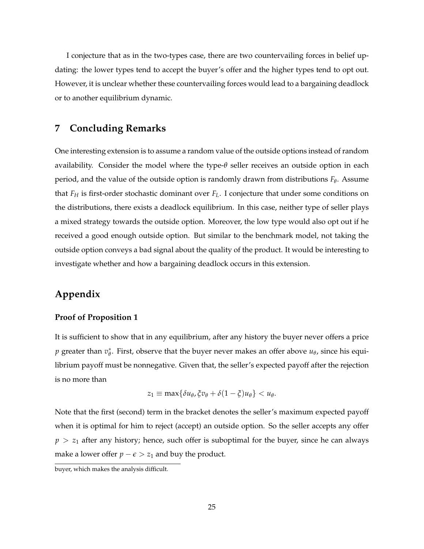I conjecture that as in the two-types case, there are two countervailing forces in belief updating: the lower types tend to accept the buyer's offer and the higher types tend to opt out. However, it is unclear whether these countervailing forces would lead to a bargaining deadlock or to another equilibrium dynamic.

### **7 Concluding Remarks**

One interesting extension is to assume a random value of the outside options instead of random availability. Consider the model where the type-*q* seller receives an outside option in each period, and the value of the outside option is randomly drawn from distributions  $F_\theta$ . Assume that *FH* is first-order stochastic dominant over *FL*. I conjecture that under some conditions on the distributions, there exists a deadlock equilibrium. In this case, neither type of seller plays a mixed strategy towards the outside option. Moreover, the low type would also opt out if he received a good enough outside option. But similar to the benchmark model, not taking the outside option conveys a bad signal about the quality of the product. It would be interesting to investigate whether and how a bargaining deadlock occurs in this extension.

## **Appendix**

#### **Proof of Proposition 1**

It is sufficient to show that in any equilibrium, after any history the buyer never offers a price *p* greater than  $v_{\theta}^*$ . First, observe that the buyer never makes an offer above  $u_{\theta}$ , since his equilibrium payoff must be nonnegative. Given that, the seller's expected payoff after the rejection is no more than

$$
z_1 \equiv \max\{\delta u_\theta, \xi v_\theta + \delta (1-\xi) u_\theta\} < u_\theta.
$$

Note that the first (second) term in the bracket denotes the seller's maximum expected payoff when it is optimal for him to reject (accept) an outside option. So the seller accepts any offer  $p > z<sub>1</sub>$  after any history; hence, such offer is suboptimal for the buyer, since he can always make a lower offer  $p - \epsilon > z_1$  and buy the product.

buyer, which makes the analysis difficult.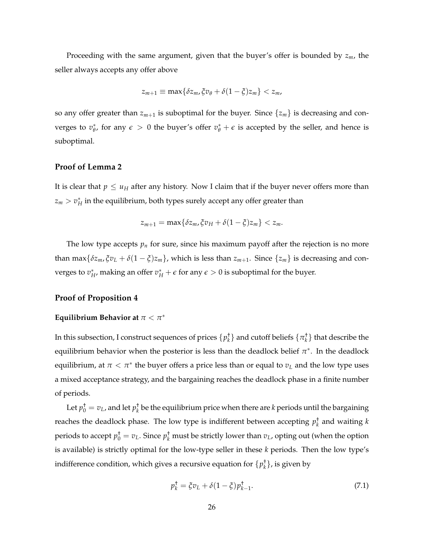Proceeding with the same argument, given that the buyer's offer is bounded by *zm*, the seller always accepts any offer above

$$
z_{m+1} \equiv \max\{\delta z_m, \xi v_\theta + \delta(1-\xi)z_m\} < z_m,
$$

so any offer greater than  $z_{m+1}$  is suboptimal for the buyer. Since  $\{z_m\}$  is decreasing and converges to  $v^*_{\theta}$ , for any  $\epsilon > 0$  the buyer's offer  $v^*_{\theta} + \epsilon$  is accepted by the seller, and hence is suboptimal.

#### **Proof of Lemma 2**

It is clear that  $p \leq u_H$  after any history. Now I claim that if the buyer never offers more than  $z_m > v_H^*$  in the equilibrium, both types surely accept any offer greater than

$$
z_{m+1} = \max\{\delta z_m, \xi v_H + \delta(1-\xi)z_m\} < z_m.
$$

The low type accepts  $p_n$  for sure, since his maximum payoff after the rejection is no more than max $\{\delta z_m, \zeta v_L + \delta(1-\zeta)z_m\}$ , which is less than  $z_{m+1}$ . Since  $\{z_m\}$  is decreasing and converges to  $v^*_{H}$ , making an offer  $v^*_{H} + \epsilon$  for any  $\epsilon > 0$  is suboptimal for the buyer.

#### **Proof of Proposition 4**

#### **Equilibrium Behavior at**  $\pi < \pi^*$

In this subsection, I construct sequences of prices  $\{p_k^{\dagger}\}$  and cutoff beliefs  $\{\pi_k^{\dagger}\}$  that describe the equilibrium behavior when the posterior is less than the deadlock belief  $\pi^*$ . In the deadlock equilibrium, at  $\pi < \pi^*$  the buyer offers a price less than or equal to  $v_L$  and the low type uses a mixed acceptance strategy, and the bargaining reaches the deadlock phase in a finite number of periods.

Let  $p_0^+ = v_L$ , and let  $p_k^+$  be the equilibrium price when there are *k* periods until the bargaining reaches the deadlock phase. The low type is indifferent between accepting  $p_k^{\dagger}$  and waiting  $k$ periods to accept  $p_0^+ = v_L$ . Since  $p_k^+$  must be strictly lower than  $v_L$ , opting out (when the option is available) is strictly optimal for the low-type seller in these *k* periods. Then the low type's indifference condition, which gives a recursive equation for  $\{p_k^{\dagger}\}$ , is given by

$$
p_k^{\dagger} = \xi v_L + \delta (1 - \xi) p_{k-1}^{\dagger}.
$$
 (7.1)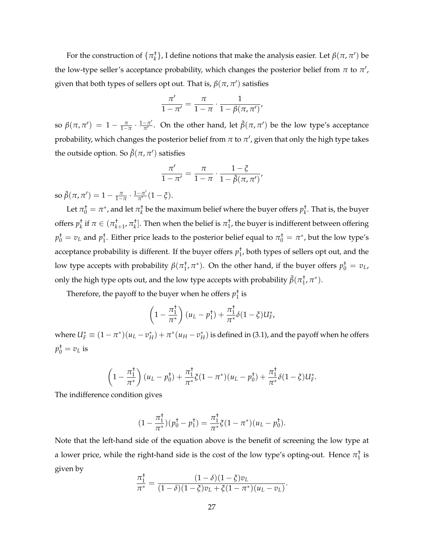For the construction of  $\{\pi_k^{\dagger}\}$ , I define notions that make the analysis easier. Let  $\beta(\pi, \pi')$  be the low-type seller's acceptance probability, which changes the posterior belief from  $\pi$  to  $\pi',$ given that both types of sellers opt out. That is,  $\beta(\pi,\pi')$  satisfies

$$
\frac{\pi'}{1-\pi'}=\frac{\pi}{1-\pi}\cdot\frac{1}{1-\beta(\pi,\pi')'}
$$

so  $\beta(\pi, \pi') = 1 - \frac{\pi}{1 - \pi} \cdot \frac{1 - \pi'}{\pi'}$ . On the other hand, let  $\tilde{\beta}(\pi, \pi')$  be the low type's acceptance probability, which changes the posterior belief from  $\pi$  to  $\pi'$ , given that only the high type takes the outside option. So  $\tilde{\beta}(\pi, \pi')$  satisfies

$$
\frac{\pi'}{1-\pi'}=\frac{\pi}{1-\pi}\cdot\frac{1-\xi}{1-\tilde{\beta}(\pi,\pi')},
$$

so  $\tilde{\beta}(\pi, \pi') = 1 - \frac{\pi}{1 - \pi} \cdot \frac{1 - \pi'}{\pi'} (1 - \xi).$ 

Let  $\pi_0^{\dagger} = \pi^*$ , and let  $\pi_k^{\dagger}$  be the maximum belief where the buyer offers  $p_k^{\dagger}$ . That is, the buyer offers  $p_k^+$  if  $\pi \in (\pi_{k+1}^+, \pi_k^+]$ . Then when the belief is  $\pi_1^+$ , the buyer is indifferent between offering  $p_0^+ = v_L$  and  $p_1^+$ . Either price leads to the posterior belief equal to  $\pi_0^+ = \pi^*$ , but the low type's acceptance probability is different. If the buyer offers  $p_1^{\dagger}$ , both types of sellers opt out, and the low type accepts with probability  $\beta(\pi_1^\dagger,\pi^*)$ . On the other hand, if the buyer offers  $p_0^\dagger = v_L$ , only the high type opts out, and the low type accepts with probability  $\tilde{\beta}(\pi_1^\dagger,\pi^*)$ .

Therefore, the payoff to the buyer when he offers  $p_1^{\dagger}$  is

$$
\left(1-\frac{\pi_1^{\dagger}}{\pi^*}\right)(u_L-p_1^{\dagger})+\frac{\pi_1^{\dagger}}{\pi^*}\delta(1-\xi)U_F^*,
$$

where  $U_F^* \equiv (1-\pi^*)(u_L - v_H^*) + \pi^*(u_H - v_H^*)$  is defined in (3.1), and the payoff when he offers  $p_0^+$  =  $v_L$  is

$$
\left(1-\frac{\pi_1^{\dagger}}{\pi^*}\right)(u_L-p_0^{\dagger})+\frac{\pi_1^{\dagger}}{\pi^*}\xi(1-\pi^*)(u_L-p_0^{\dagger})+\frac{\pi_1^{\dagger}}{\pi^*}\delta(1-\xi)U_F^*.
$$

The indifference condition gives

$$
(1 - \frac{\pi_1^{\dagger}}{\pi^*})(p_0^{\dagger} - p_1^{\dagger}) = \frac{\pi_1^{\dagger}}{\pi^*}\xi(1 - \pi^*)(u_L - p_0^{\dagger}).
$$

Note that the left-hand side of the equation above is the benefit of screening the low type at a lower price, while the right-hand side is the cost of the low type's opting-out. Hence  $\pi_1^\dagger$  is given by

$$
\frac{\pi_1^{\dagger}}{\pi^*} = \frac{(1-\delta)(1-\xi)v_L}{(1-\delta)(1-\xi)v_L + \xi(1-\pi^*)(u_L - v_L)}.
$$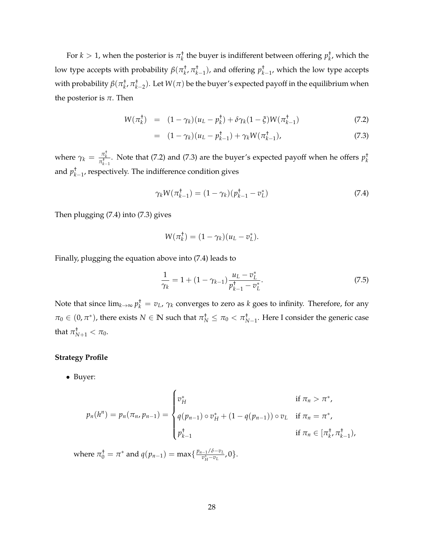For  $k > 1$ , when the posterior is  $\pi_k^{\dagger}$  the buyer is indifferent between offering  $p_{k'}^{\dagger}$ , which the low type accepts with probability  $\beta(\pi_k^{\dagger}, \pi_{k-1}^{\dagger})$ , and offering  $p_{k-1}^{\dagger}$ , which the low type accepts with probability  $\beta(\pi_k^{\dagger}, \pi_{k-2}^{\dagger})$ . Let  $W(\pi)$  be the buyer's expected payoff in the equilibrium when the posterior is  $\pi$ . Then

$$
W(\pi_k^{\dagger}) = (1 - \gamma_k)(u_L - p_k^{\dagger}) + \delta \gamma_k (1 - \xi) W(\pi_{k-1}^{\dagger})
$$
\n(7.2)

$$
= (1 - \gamma_k)(u_L - p_{k-1}^+) + \gamma_k W(\pi_{k-1}^+), \tag{7.3}
$$

where  $\gamma_k = \frac{\pi_k^{\dagger}}{\pi_{k-1}^{\dagger}}$ . Note that (7.2) and (7.3) are the buyer's expected payoff when he offers  $p_k^{\dagger}$ and  $p^{\dagger}_{k-1}$ , respectively. The indifference condition gives

$$
\gamma_k W(\pi_{k-1}^{\dagger}) = (1 - \gamma_k)(p_{k-1}^{\dagger} - v_L^*)
$$
\n(7.4)

Then plugging (7.4) into (7.3) gives

$$
W(\pi_k^{\dagger}) = (1 - \gamma_k)(u_L - v_L^*).
$$

Finally, plugging the equation above into (7.4) leads to

$$
\frac{1}{\gamma_k} = 1 + (1 - \gamma_{k-1}) \frac{u_L - v_L^*}{p_{k-1}^+ - v_L^*}.
$$
\n(7.5)

Note that since  $\lim_{k\to\infty}p_k^+=v_L$ ,  $\gamma_k$  converges to zero as  $k$  goes to infinity. Therefore, for any  $\pi_0 \in (0, \pi^*)$ , there exists  $N \in \mathbb{N}$  such that  $\pi_N^{\dagger} \le \pi_0 < \pi_{N-1}^{\dagger}$ . Here I consider the generic case that  $\pi^{\dagger}_{N+1} < \pi_0$ .

#### **Strategy Profile**

*•* Buyer:

$$
p_n(h^n) = p_n(\pi_n, p_{n-1}) = \begin{cases} v_H^* & \text{if } \pi_n > \pi^*, \\ q(p_{n-1}) \circ v_H^* + (1 - q(p_{n-1})) \circ v_L & \text{if } \pi_n = \pi^*, \\ p_{k-1}^+ & \text{if } \pi_n \in [\pi_k^+, \pi_{k-1}^+), \end{cases}
$$

where  $\pi_0^+ = \pi^*$  and  $q(p_{n-1}) = \max\{\frac{p_{n-1}/\delta - v_L}{v_H^* - v_L}, 0\}.$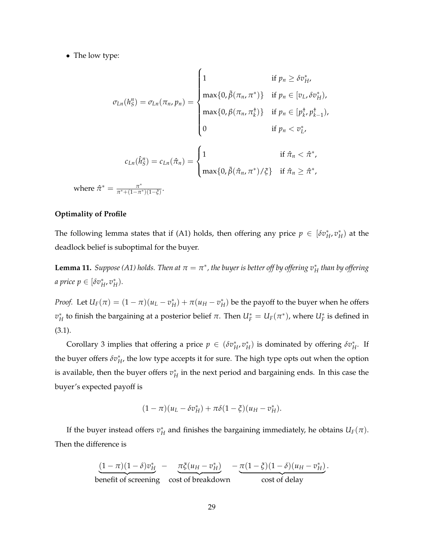*•* The low type:

$$
\sigma_{Ln}(h_S^n) = \sigma_{Ln}(\pi_n, p_n) = \begin{cases}\n1 & \text{if } p_n \ge \delta v_H^*, \\
\max\{0, \tilde{\beta}(\pi_n, \pi^*)\} & \text{if } p_n \in [v_L, \delta v_H^*), \\
\max\{0, \beta(\pi_n, \pi_k^*)\} & \text{if } p_n \in [p_k^+, p_{k-1}^*), \\
0 & \text{if } p_n < v_L^*.\n\end{cases}
$$
\n
$$
c_{Ln}(\hat{h}_S^n) = c_{Ln}(\hat{\pi}_n) = \begin{cases}\n1 & \text{if } \hat{\pi}_n < \hat{\pi}^*, \\
\max\{0, \tilde{\beta}(\hat{\pi}_n, \pi^*) / \xi\} & \text{if } \hat{\pi}_n \ge \hat{\pi}^*, \\
\max\{0, \tilde{\beta}(\hat{\pi}_n, \pi^*) / \xi\} & \text{if } \hat{\pi}_n \ge \hat{\pi}^*,\n\end{cases}
$$

where  $\hat{\pi}$  $\frac{\pi^*+(1-\pi^*)(1-\xi)}$ 

#### **Optimality of Profile**

The following lemma states that if (A1) holds, then offering any price  $p \in [\delta v_H^*, v_H^* )$  at the deadlock belief is suboptimal for the buyer.

 ${\bf Lemma \ 11.}$  *Suppose (A1) holds. Then at*  $\pi=\pi^*$ *, the buyer is better off by offering*  $v^*_H$  *than by offering a* price  $p \in [\delta v_H^*, v_H^*).$ 

*Proof.* Let  $U_F(\pi) = (1 - \pi)(u_L - v_H^*) + \pi(u_H - v_H^*)$  be the payoff to the buyer when he offers  $v_H^*$  to finish the bargaining at a posterior belief  $\pi.$  Then  $U_F^* = U_F(\pi^*)$ , where  $U_F^*$  is defined in (3.1).

Corollary 3 implies that offering a price  $p \in (\delta v_H^*, v_H^*)$  is dominated by offering  $\delta v_H^*$ . If the buyer offers  $\delta v^*_H$ , the low type accepts it for sure. The high type opts out when the option is available, then the buyer offers  $v_H^*$  in the next period and bargaining ends. In this case the buyer's expected payoff is

$$
(1 - \pi)(u_L - \delta v_H^*) + \pi \delta (1 - \xi)(u_H - v_H^*).
$$

If the buyer instead offers  $v_H^*$  and finishes the bargaining immediately, he obtains  $U_F(\pi)$ . Then the difference is

$$
\underbrace{(1-\pi)(1-\delta)v_H^* - \underbrace{\pi\xi(u_H - v_H^*)}_{\text{conefit of screening}} - \underbrace{\pi(1-\xi)(1-\delta)(u_H - v_H^*)}_{\text{cost of delay}}.
$$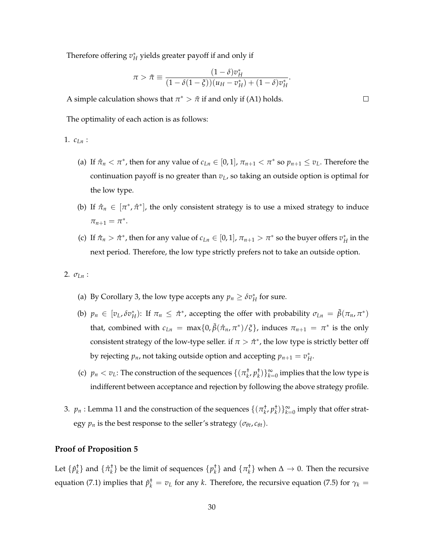Therefore offering  $v_H^*$  yields greater payoff if and only if

$$
\pi > \tilde{\pi} \equiv \frac{(1 - \delta)v_H^*}{(1 - \delta(1 - \xi))(u_H - v_H^*) + (1 - \delta)v_H^*}.
$$

A simple calculation shows that  $\pi^*$  >  $\tilde{\pi}$  if and only if (A1) holds.

The optimality of each action is as follows:

#### 1. *cLn* :

- (a) If  $\hat{\pi}_n < \pi^*$ , then for any value of  $c_{Ln} \in [0, 1]$ ,  $\pi_{n+1} < \pi^*$  so  $p_{n+1} \le v_L$ . Therefore the continuation payoff is no greater than  $v_L$ , so taking an outside option is optimal for the low type.
- (b) If  $\hat{\pi}_n \in [\pi^*, \hat{\pi}^*]$ , the only consistent strategy is to use a mixed strategy to induce  $\pi_{n+1} = \pi^*$ .
- (c) If  $\hat{\pi}_n > \hat{\pi}^*$ , then for any value of  $c_{Ln} \in [0, 1]$ ,  $\pi_{n+1} > \pi^*$  so the buyer offers  $v_H^*$  in the next period. Therefore, the low type strictly prefers not to take an outside option.

#### 2.  $\sigma_{Ln}$ :

- (a) By Corollary 3, the low type accepts any  $p_n \geq \delta v_H^*$  for sure.
- (b)  $p_n \in [v_L, \delta v_H^*):$  If  $\pi_n \leq \hat{\pi}^*$ , accepting the offer with probability  $\sigma_{Ln} = \tilde{\beta}(\pi_n, \pi^*)$ that, combined with  $c_{Ln} = \max\{0, \tilde{\beta}(\hat{\pi}_n, \pi^*)/\zeta\}$ , induces  $\pi_{n+1} = \pi^*$  is the only consistent strategy of the low-type seller. if  $\pi > \hat{\pi}^*$ , the low type is strictly better off by rejecting  $p_n$ , not taking outside option and accepting  $p_{n+1} = v_H^*$ .
- (c)  $p_n < v_L$ : The construction of the sequences  $\{(\pi_k^+, p_k^+) \}_{k=0}^{\infty}$  implies that the low type is indifferent between acceptance and rejection by following the above strategy profile.
- 3.  $p_n$ : Lemma 11 and the construction of the sequences  $\{(\pi_k^+, p_k^+)\}_{k=0}^{\infty}$  imply that offer strategy  $p_n$  is the best response to the seller's strategy ( $\sigma_{\theta t}$ ,  $c_{\theta t}$ ).

#### **Proof of Proposition 5**

Let  $\{\hat{p}_k^{\dagger}\}$  and  $\{\hat{\pi}_k^{\dagger}\}$  be the limit of sequences  $\{p_k^{\dagger}\}$  and  $\{\pi_k^{\dagger}\}$  when  $\Delta \to 0$ . Then the recursive equation (7.1) implies that  $\rho_k^+=v_L$  for any *k*. Therefore, the recursive equation (7.5) for  $\gamma_k=$ 

 $\Box$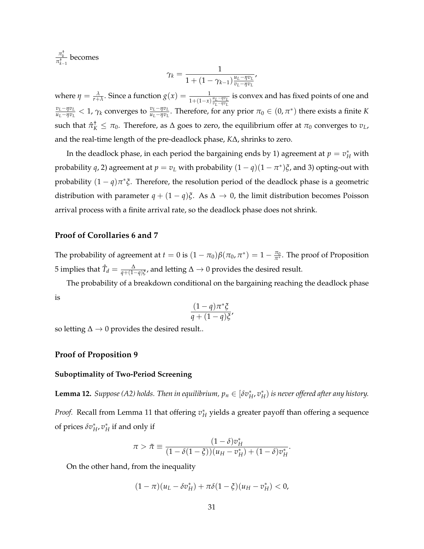$\frac{\pi_k^{\dagger}}{\pi_{k-1}^{\dagger}}$ becomes

$$
\gamma_k = \frac{1}{1 + (1 - \gamma_{k-1}) \frac{u_L - \eta v_L}{v_L - \eta v_L}},
$$

where  $\eta = \frac{\lambda}{r+\lambda}$ . Since a function  $g(x) = \frac{1}{1+(1-x)\frac{u_L-\eta v_L}{v_L-\eta v_L}}$  is convex and has fixed points of one and  $\frac{v_L - \eta v_L}{u_L - \eta v_L} < 1$ ,  $\gamma_k$  converges to  $\frac{v_L - \eta v_L}{u_L - \eta v_L}$ . Therefore, for any prior  $\pi_0 \in (0, \pi^*)$  there exists a finite K such that  $\hat{\pi}_K^{\dagger} \leq \pi_0$ . Therefore, as  $\Delta$  goes to zero, the equilibrium offer at  $\pi_0$  converges to  $v_L$ , and the real-time length of the pre-deadlock phase, *K*D, shrinks to zero.

In the deadlock phase, in each period the bargaining ends by 1) agreement at  $p=v_H^*$  with probability *q*, 2) agreement at  $p = v_L$  with probability  $(1 - q)(1 - \pi^*)\xi$ , and 3) opting-out with probability  $(1 - q)\pi^*\xi$ . Therefore, the resolution period of the deadlock phase is a geometric distribution with parameter  $q + (1 - q)\xi$ . As  $\Delta \rightarrow 0$ , the limit distribution becomes Poisson arrival process with a finite arrival rate, so the deadlock phase does not shrink.

#### **Proof of Corollaries 6 and 7**

The probability of agreement at  $t = 0$  is  $(1 - \pi_0)\beta(\pi_0, \pi^*) = 1 - \frac{\pi_0}{\pi^*}$ . The proof of Proposition 5 implies that  $\hat{T}_d = \frac{\Delta}{q + (1-q)\xi}$ , and letting  $\Delta \to 0$  provides the desired result.

The probability of a breakdown conditional on the bargaining reaching the deadlock phase is

$$
\frac{(1-q)\pi^*\xi}{q+(1-q)\xi'}
$$

so letting  $\Delta \rightarrow 0$  provides the desired result..

#### **Proof of Proposition 9**

#### **Suboptimality of Two-Period Screening**

 ${\bf Lemma \ 12.}$  *Suppose (A2) holds. Then in equilibrium,*  $p_n \in [\delta v_H^*, v_H^* )$  *is never offered after any history. Proof.* Recall from Lemma 11 that offering  $v_H^*$  yields a greater payoff than offering a sequence of prices  $\delta v^*_H$ ,  $v^*_H$  if and only if

$$
\pi > \tilde{\pi} \equiv \frac{(1 - \delta)v_H^*}{(1 - \delta(1 - \xi))(u_H - v_H^*) + (1 - \delta)v_H^*}.
$$

On the other hand, from the inequality

$$
(1 - \pi)(u_L - \delta v_H^*) + \pi \delta (1 - \xi)(u_H - v_H^*) < 0,
$$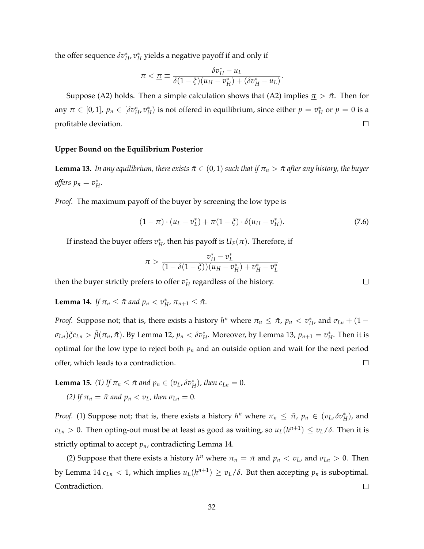the offer sequence  $\delta v^*_H$ ,  $v^*_H$  yields a negative payoff if and only if

$$
\pi < \underline{\pi} \equiv \frac{\delta v_H^* - u_L}{\delta (1 - \xi)(u_H - v_H^*) + (\delta v_H^* - u_L)}.
$$

Suppose (A2) holds. Then a simple calculation shows that (A2) implies  $\pi > \tilde{\pi}$ . Then for any  $\pi \in [0, 1]$ ,  $p_n \in [\delta v_H^*, v_H^*)$  is not offered in equilibrium, since either  $p = v_H^*$  or  $p = 0$  is a profitable deviation.  $\Box$ 

#### **Upper Bound on the Equilibrium Posterior**

**Lemma 13.** *In any equilibrium, there exists*  $\bar{\pi} \in (0, 1)$  *such that if*  $\pi_n > \bar{\pi}$  *after any history, the buyer offers*  $p_n = v_H^*$ .

*Proof.* The maximum payoff of the buyer by screening the low type is

$$
(1 - \pi) \cdot (u_L - v_L^*) + \pi (1 - \xi) \cdot \delta (u_H - v_H^*).
$$
 (7.6)

If instead the buyer offers  $v^*_H$ , then his payoff is  $U_F(\pi)$ . Therefore, if

$$
\pi > \frac{v_H^* - v_L^*}{(1 - \delta(1 - \xi))(u_H - v_H^*) + v_H^* - v_L^*}
$$

then the buyer strictly prefers to offer  $v_H^*$  regardless of the history.

**Lemma 14.** *If*  $\pi_n \leq \bar{\pi}$  *and*  $p_n < v_H^*$ ,  $\pi_{n+1} \leq \bar{\pi}$ .

*Proof.* Suppose not; that is, there exists a history  $h^n$  where  $\pi_n \leq \bar{\pi}$ ,  $p_n < v_H^*$ , and  $\sigma_{Ln} + (1 - \bar{\sigma})$  $\sigma_{Ln}$ ) $\zeta$ *c*<sub>Ln</sub>  $> \tilde{\beta}(\pi_n, \bar{\pi})$ . By Lemma 12,  $p_n < \delta v_H^*$ . Moreover, by Lemma 13,  $p_{n+1} = v_H^*$ . Then it is optimal for the low type to reject both  $p_n$  and an outside option and wait for the next period  $\Box$ offer, which leads to a contradiction.

**Lemma 15.** (1) If  $\pi_n \leq \bar{\pi}$  and  $p_n \in (v_L, \delta v_H^*)$ , then  $c_{Ln} = 0$ . *(2)* If  $\pi_n = \bar{\pi}$  *and*  $p_n < v_L$ , then  $\sigma_{Ln} = 0$ .

*Proof.* (1) Suppose not; that is, there exists a history  $h^n$  where  $\pi_n \leq \bar{\pi}$ ,  $p_n \in (v_L, \delta v_H^*)$ , and  $c_{Ln} > 0$ . Then opting-out must be at least as good as waiting, so  $u_L(h^{n+1}) \le v_L/\delta$ . Then it is strictly optimal to accept *pn*, contradicting Lemma 14.

(2) Suppose that there exists a history  $h^n$  where  $\pi_n = \bar{\pi}$  and  $p_n < v_L$ , and  $\sigma_{Ln} > 0$ . Then by Lemma 14  $c_{Ln}$  < 1, which implies  $u_L(h^{n+1}) \ge v_L/\delta$ . But then accepting  $p_n$  is suboptimal. Contradiction.  $\Box$ 

 $\Box$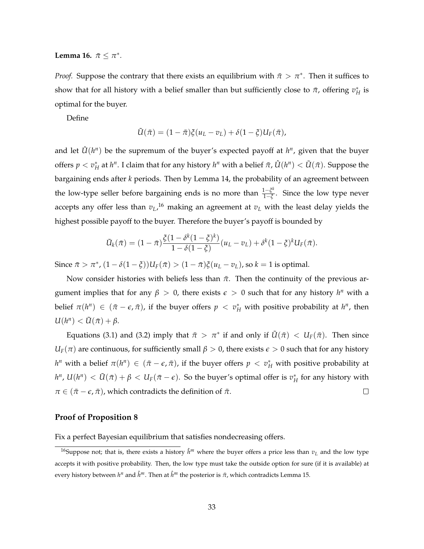**Lemma 16.**  $\bar{\pi} \leq \pi^*$ .

*Proof.* Suppose the contrary that there exists an equilibrium with  $\bar{\pi} > \pi^*$ . Then it suffices to show that for all history with a belief smaller than but sufficiently close to  $\bar{\pi}$ , offering  $v_H^*$  is optimal for the buyer.

Define

$$
\tilde{U}(\bar{\pi})=(1-\bar{\pi})\xi(u_L-v_L)+\delta(1-\xi)U_F(\bar{\pi}),
$$

and let  $\hat{U}(h^n)$  be the supremum of the buyer's expected payoff at  $h^n$ , given that the buyer offers  $p < v_H^*$  at  $h^n$ . I claim that for any history  $h^n$  with a belief  $\bar{\pi}$ ,  $\hat{U}(h^n) < \tilde{U}(\bar{\pi})$ . Suppose the bargaining ends after *k* periods. Then by Lemma 14, the probability of an agreement between the low-type seller before bargaining ends is no more than  $\frac{1-\xi^k}{1-\xi}$ . Since the low type never accepts any offer less than *vL*, <sup>16</sup> making an agreement at *vL* with the least delay yields the highest possible payoff to the buyer. Therefore the buyer's payoff is bounded by

$$
\tilde{U}_k(\bar{\pi}) = (1-\bar{\pi})\frac{\xi(1-\delta^k(1-\xi)^k)}{1-\delta(1-\xi)}(u_L-v_L) + \delta^k(1-\xi)^k U_F(\bar{\pi}).
$$

Since  $\bar{\pi} > \pi^*$ ,  $(1 - \delta(1 - \xi))U_F(\bar{\pi}) > (1 - \bar{\pi})\xi(u_L - v_L)$ , so  $k = 1$  is optimal.

Now consider histories with beliefs less than  $\bar{\pi}$ . Then the continuity of the previous argument implies that for any  $\beta > 0$ , there exists  $\epsilon > 0$  such that for any history  $h^n$  with a belief  $\pi(h^n) \in (\bar{\pi} - \epsilon, \bar{\pi})$ , if the buyer offers  $p < v_H^*$  with positive probability at  $h^n$ , then  $U(h^n) < \tilde{U}(\bar{\pi}) + \beta.$ 

Equations (3.1) and (3.2) imply that  $\bar{\pi} > \pi^*$  if and only if  $\tilde{U}(\bar{\pi}) < U_F(\bar{\pi})$ . Then since  $U_F(\pi)$  are continuous, for sufficiently small  $\beta > 0$ , there exists  $\epsilon > 0$  such that for any history *h*<sup>*n*</sup> with a belief  $\pi(h^n) \in (\bar{\pi} - \epsilon, \bar{\pi})$ , if the buyer offers  $p < v_H^*$  with positive probability at  $h^n$ ,  $U(h^n) < \tilde{U}(\bar{\pi}) + \beta < U_F(\bar{\pi} - \epsilon)$ . So the buyer's optimal offer is  $v_H^*$  for any history with  $\pi \in (\bar{\pi} - \epsilon, \bar{\pi})$ , which contradicts the definition of  $\bar{\pi}$ .  $\Box$ 

#### **Proof of Proposition 8**

Fix a perfect Bayesian equilibrium that satisfies nondecreasing offers.

<sup>&</sup>lt;sup>16</sup>Suppose not; that is, there exists a history  $\hat{h}^m$  where the buyer offers a price less than  $v_L$  and the low type accepts it with positive probability. Then, the low type must take the outside option for sure (if it is available) at every history between  $h^n$  and  $\hat{h}^m$ . Then at  $\hat{h}^m$  the posterior is  $\bar{\pi}$ , which contradicts Lemma 15.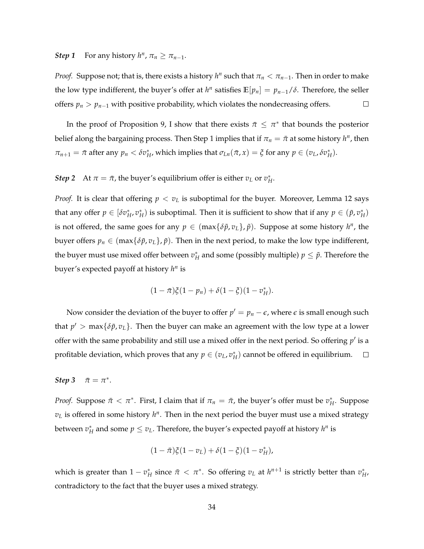#### *Step 1* For any history  $h^n$ ,  $\pi_n \geq \pi_{n-1}$ .

*Proof.* Suppose not; that is, there exists a history  $h^n$  such that  $\pi_n < \pi_{n-1}$ . Then in order to make the low type indifferent, the buyer's offer at  $h^n$  satisfies  $\mathbb{E}[p_n] = p_{n-1}/\delta$ . Therefore, the seller offers  $p_n > p_{n-1}$  with positive probability, which violates the nondecreasing offers.  $\Box$ 

In the proof of Proposition 9, I show that there exists  $\bar{\pi} \leq \pi^*$  that bounds the posterior belief along the bargaining process. Then Step 1 implies that if  $\pi_n = \bar{\pi}$  at some history  $h^n$ , then  $\pi_{n+1} = \bar{\pi}$  after any  $p_n < \delta v_H^*$ , which implies that  $\sigma_{Ln}(\bar{\pi}, x) = \xi$  for any  $p \in (v_L, \delta v_H^*)$ .

*Step* 2 At  $\pi = \bar{\pi}$ , the buyer's equilibrium offer is either  $v_L$  or  $v_H^*$ .

*Proof.* It is clear that offering  $p < v_L$  is suboptimal for the buyer. Moreover, Lemma 12 says that any offer  $p \in [\delta v_H^*, v_H^*]$  is suboptimal. Then it is sufficient to show that if any  $p \in (\tilde{p}, v_H^*)$ is not offered, the same goes for any  $p \in (\max{\{\delta \tilde{p}, v_L\}}, \tilde{p})$ . Suppose at some history  $h^n$ , the buyer offers  $p_n \in (\max\{\delta\tilde{p}, v_L\}, \tilde{p})$ . Then in the next period, to make the low type indifferent, the buyer must use mixed offer between  $v_H^*$  and some (possibly multiple)  $p \leq \tilde{p}$ . Therefore the buyer's expected payoff at history *h<sup>n</sup>* is

$$
(1-\bar{\pi})\xi(1-p_n)+\delta(1-\xi)(1-v_H^*).
$$

Now consider the deviation of the buyer to offer  $p' = p_n - \epsilon$ , where  $\epsilon$  is small enough such that  $p' > \max{\delta \tilde{p}, v_L}$ . Then the buyer can make an agreement with the low type at a lower offer with the same probability and still use a mixed offer in the next period. So offering  $p'$  is a profitable deviation, which proves that any  $p \in (v_L, v_H^*)$  cannot be offered in equilibrium.  $\Box$ 

#### *Step* 3  $\bar{\pi} = \pi^*$ .

*Proof.* Suppose  $\bar{\pi} < \pi^*$ . First, I claim that if  $\pi_n = \bar{\pi}$ , the buyer's offer must be  $v_H^*$ . Suppose  $v_L$  is offered in some history  $h^n$ . Then in the next period the buyer must use a mixed strategy between  $v_H^*$  and some  $p \leq v_L$ . Therefore, the buyer's expected payoff at history  $h^n$  is

$$
(1-\bar{\pi})\xi(1-v_L)+\delta(1-\xi)(1-v_H^*),
$$

which is greater than  $1-v_H^*$  since  $\bar{\pi}<\pi^*$ . So offering  $v_L$  at  $h^{n+1}$  is strictly better than  $v_H^*$ , contradictory to the fact that the buyer uses a mixed strategy.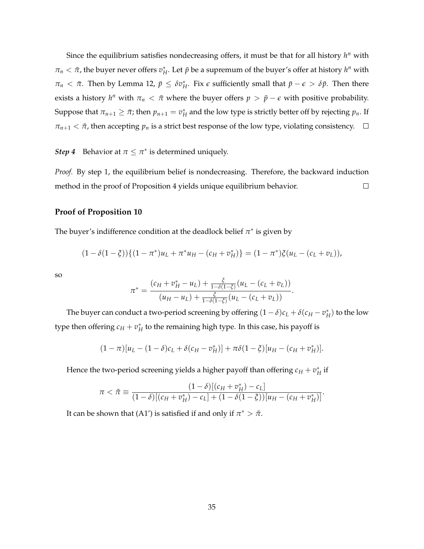Since the equilibrium satisfies nondecreasing offers, it must be that for all history *h<sup>n</sup>* with  $\pi_n < \bar{\pi}$ , the buyer never offers  $v_H^*$ . Let  $\bar{p}$  be a supremum of the buyer's offer at history  $h^n$  with  $\pi_n < \bar{\pi}$ . Then by Lemma 12,  $\bar{p} \leq \delta v_H^*$ . Fix  $\epsilon$  sufficiently small that  $\bar{p} - \epsilon > \delta \bar{p}$ . Then there exists a history  $h^n$  with  $\pi_n < \bar{\pi}$  where the buyer offers  $p > \bar{p} - \epsilon$  with positive probability. Suppose that  $\pi_{n+1} \geq \bar{\pi}$ ; then  $p_{n+1} = v_H^*$  and the low type is strictly better off by rejecting  $p_n$ . If  $\pi_{n+1} < \bar{\pi}$ , then accepting  $p_n$  is a strict best response of the low type, violating consistency.  $\Box$ 

*Step 4* Behavior at  $\pi \leq \pi^*$  is determined uniquely.

*Proof.* By step 1, the equilibrium belief is nondecreasing. Therefore, the backward induction method in the proof of Proposition 4 yields unique equilibrium behavior.  $\Box$ 

#### **Proof of Proposition 10**

The buyer's indifference condition at the deadlock belief  $\pi^*$  is given by

$$
(1 - \delta(1 - \xi))\{(1 - \pi^*)u_L + \pi^*u_H - (c_H + v_H^*)\} = (1 - \pi^*)\xi(u_L - (c_L + v_L)),
$$

so

$$
\pi^* = \frac{(c_H + v_H^* - u_L) + \frac{\xi}{1 - \delta(1 - \xi)}(u_L - (c_L + v_L))}{(u_H - u_L) + \frac{\xi}{1 - \delta(1 - \xi)}(u_L - (c_L + v_L))}.
$$

The buyer can conduct a two-period screening by offering  $(1 - \delta)c_L + \delta(c_H - v_H^*)$  to the low type then offering  $c_H + v_H^*$  to the remaining high type. In this case, his payoff is

$$
(1 - \pi)[u_L - (1 - \delta)c_L + \delta(c_H - v_H^*)] + \pi \delta(1 - \xi)[u_H - (c_H + v_H^*)].
$$

Hence the two-period screening yields a higher payoff than offering  $c_H + v_H^*$  if

$$
\pi < \tilde{\pi} \equiv \frac{(1-\delta)[(c_H + v_H^*) - c_L]}{(1-\delta)[(c_H + v_H^*) - c_L] + (1-\delta(1-\xi))[u_H - (c_H + v_H^*)]}.
$$

It can be shown that (A1') is satisfied if and only if  $\pi^* > \tilde{\pi}$ .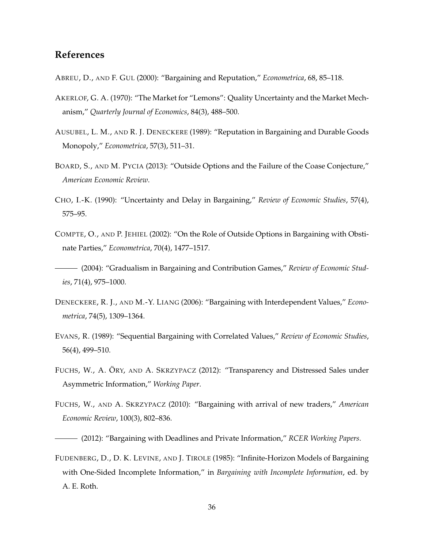## **References**

- ABREU, D., AND F. GUL (2000): "Bargaining and Reputation," *Econometrica*, 68, 85–118.
- AKERLOF, G. A. (1970): "The Market for "Lemons": Quality Uncertainty and the Market Mechanism," *Quarterly Journal of Economics*, 84(3), 488–500.
- AUSUBEL, L. M., AND R. J. DENECKERE (1989): "Reputation in Bargaining and Durable Goods Monopoly," *Econometrica*, 57(3), 511–31.
- BOARD, S., AND M. PYCIA (2013): "Outside Options and the Failure of the Coase Conjecture," *American Economic Review*.
- CHO, I.-K. (1990): "Uncertainty and Delay in Bargaining," *Review of Economic Studies*, 57(4), 575–95.
- COMPTE, O., AND P. JEHIEL (2002): "On the Role of Outside Options in Bargaining with Obstinate Parties," *Econometrica*, 70(4), 1477–1517.
- (2004): "Gradualism in Bargaining and Contribution Games," *Review of Economic Studies*, 71(4), 975–1000.
- DENECKERE, R. J., AND M.-Y. LIANG (2006): "Bargaining with Interdependent Values," *Econometrica*, 74(5), 1309–1364.
- EVANS, R. (1989): "Sequential Bargaining with Correlated Values," *Review of Economic Studies*, 56(4), 499–510.
- FUCHS, W., A. ÖRY, AND A. SKRZYPACZ (2012): "Transparency and Distressed Sales under Asymmetric Information," *Working Paper*.
- FUCHS, W., AND A. SKRZYPACZ (2010): "Bargaining with arrival of new traders," *American Economic Review*, 100(3), 802–836.

FUDENBERG, D., D. K. LEVINE, AND J. TIROLE (1985): "Infinite-Horizon Models of Bargaining with One-Sided Incomplete Information," in *Bargaining with Incomplete Information*, ed. by A. E. Roth.

<sup>(2012): &</sup>quot;Bargaining with Deadlines and Private Information," *RCER Working Papers*.